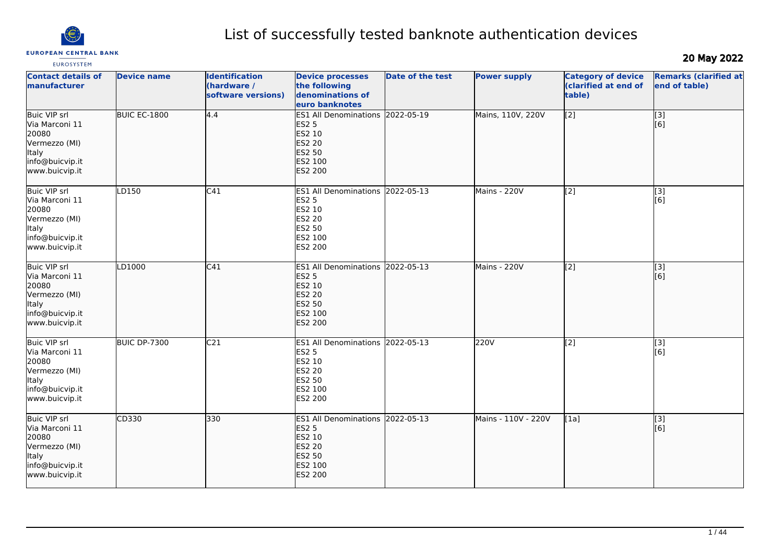

# **EUROPEAN CENTRAL BANK**

# List of successfully tested banknote authentication devices

# 20 May 2022

| <b>Contact details of</b><br><b>manufacturer</b>                                                                     | <b>Device name</b>  | <b>Identification</b><br>(hardware /<br>software versions) | <b>Device processes</b><br>the following<br>denominations of<br>euro banknotes                                     | Date of the test | <b>Power supply</b> | <b>Category of device</b><br>(clarified at end of<br>table) | <b>Remarks (clarified at</b><br>end of table) |
|----------------------------------------------------------------------------------------------------------------------|---------------------|------------------------------------------------------------|--------------------------------------------------------------------------------------------------------------------|------------------|---------------------|-------------------------------------------------------------|-----------------------------------------------|
| Buic VIP srl<br>Via Marconi 11<br>20080<br>Vermezzo (MI)<br>Italy<br>info@buicvip.it<br>www.buicvip.it               | <b>BUIC EC-1800</b> | 4.4                                                        | <b>ES1 All Denominations</b><br><b>ES2 5</b><br>ES2 10<br><b>ES2 20</b><br>ES2 50<br>ES2 100<br><b>ES2 200</b>     | 2022-05-19       | Mains, 110V, 220V   | $\sqrt{2}$                                                  | [3]<br>[6]                                    |
| <b>Buic VIP srl</b><br>Via Marconi 11<br>20080<br>Vermezzo (MI)<br>Italy<br>info@buicvip.it<br>www.buicvip.it        | LD150               | C <sub>41</sub>                                            | ES1 All Denominations 2022-05-13<br><b>ES2 5</b><br>ES2 10<br><b>ES2 20</b><br>ES2 50<br>ES2 100<br>ES2 200        |                  | Mains - 220V        | $\overline{[2]}$                                            | [3]<br>[6]                                    |
| <b>Buic VIP srl</b><br>Via Marconi 11<br>20080<br>Vermezzo (MI)<br>Italy<br>info@buicvip.it<br>www.buicvip.it        | LD1000              | C41                                                        | <b>ES1 All Denominations</b><br><b>ES2 5</b><br>ES2 10<br><b>ES2 20</b><br><b>ES2 50</b><br>ES2 100<br>ES2 200     | 2022-05-13       | Mains - 220V        | $\left[$ [2]                                                | [3]<br>[[6]                                   |
| <b>Buic VIP srl</b><br>Via Marconi 11<br>20080<br>Vermezzo (MI)<br><b>Italy</b><br>info@buicvip.it<br>www.buicvip.it | <b>BUIC DP-7300</b> | C <sub>21</sub>                                            | ES1 All Denominations 2022-05-13<br><b>ES2 5</b><br>ES2 10<br><b>ES2 20</b><br><b>ES2 50</b><br>ES2 100<br>ES2 200 |                  | 220V                | $\overline{[2]}$                                            | $\overline{[}3]$<br>[6]                       |
| Buic VIP srl<br>Via Marconi 11<br>20080<br>Vermezzo (MI)<br><b>Italy</b><br>info@buicvip.it<br>www.buicvip.it        | CD330               | 330                                                        | ES1 All Denominations 2022-05-13<br><b>ES2 5</b><br>ES2 10<br><b>ES2 20</b><br>ES2 50<br>ES2 100<br>ES2 200        |                  | Mains - 110V - 220V | [1a]                                                        | $\overline{[}3]$<br>[[6]                      |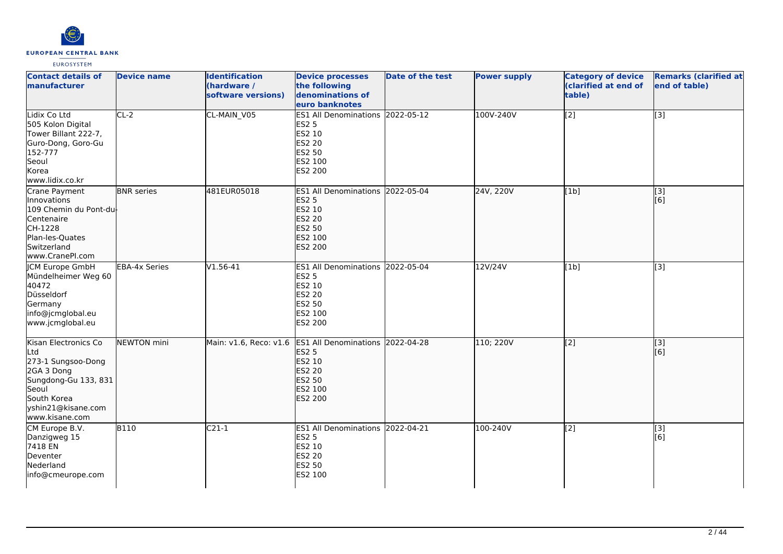

| <b>Contact details of</b><br>manufacturer                                                                                                               | <b>Device name</b>   | <b>Identification</b><br>(hardware /<br>software versions) | <b>Device processes</b><br>the following<br>denominations of<br>euro banknotes                                            | <b>Date of the test</b> | <b>Power supply</b> | <b>Category of device</b><br>(clarified at end of<br>table) | <b>Remarks (clarified at</b><br>end of table) |
|---------------------------------------------------------------------------------------------------------------------------------------------------------|----------------------|------------------------------------------------------------|---------------------------------------------------------------------------------------------------------------------------|-------------------------|---------------------|-------------------------------------------------------------|-----------------------------------------------|
| Lidix Co Ltd<br>505 Kolon Digital<br>Tower Billant 222-7,<br>Guro-Dong, Goro-Gu<br>152-777<br>Seoul<br>Korea<br>www.lidix.co.kr                         | $CL-2$               | CL-MAIN_V05                                                | ES1 All Denominations 2022-05-12<br><b>ES2 5</b><br>ES2 10<br><b>ES2 20</b><br>ES2 50<br>ES2 100<br>ES2 200               |                         | 100V-240V           | $\overline{[2]}$                                            | $\overline{[3]}$                              |
| Crane Payment<br>Innovations<br>109 Chemin du Pont-du-<br>Centenaire<br>CH-1228<br>Plan-les-Quates<br>Switzerland<br>www.CranePI.com                    | <b>BNR</b> series    | 481EUR05018                                                | ES1 All Denominations 2022-05-04<br><b>ES2 5</b><br>ES2 10<br><b>ES2 20</b><br><b>ES2 50</b><br>ES2 100<br><b>ES2 200</b> |                         | 24V, 220V           | [1b]                                                        | [[3]<br>[6]                                   |
| JCM Europe GmbH<br>Mündelheimer Weg 60<br>40472<br>Düsseldorf<br>Germany<br>info@jcmglobal.eu<br>www.jcmglobal.eu                                       | <b>EBA-4x Series</b> | $V1.56-41$                                                 | ES1 All Denominations 2022-05-04<br><b>ES2 5</b><br>ES2 10<br><b>ES2 20</b><br>ES2 50<br>ES2 100<br>ES2 200               |                         | 12V/24V             | [1b]                                                        | $\overline{[}3]$                              |
| Kisan Electronics Co<br>Ltd<br>273-1 Sungsoo-Dong<br>2GA 3 Dong<br>Sungdong-Gu 133, 831<br>Seoul<br>South Korea<br>yshin21@kisane.com<br>www.kisane.com | NEWTON mini          | Main: v1.6, Reco: v1.6                                     | ES1 All Denominations 2022-04-28<br><b>ES2 5</b><br>ES2 10<br><b>ES2 20</b><br><b>ES2 50</b><br>ES2 100<br><b>ES2 200</b> |                         | 110; 220V           | $\overline{[2]}$                                            | $\overline{[}3]$<br>[6]                       |
| CM Europe B.V.<br>Danzigweg 15<br>7418 EN<br>Deventer<br>Nederland<br>info@cmeurope.com                                                                 | <b>B110</b>          | $C21-1$                                                    | ES1 All Denominations 2022-04-21<br><b>ES2 5</b><br>ES2 10<br><b>ES2 20</b><br><b>ES2 50</b><br>ES2 100                   |                         | 100-240V            | [2]                                                         | [3]<br>[6]                                    |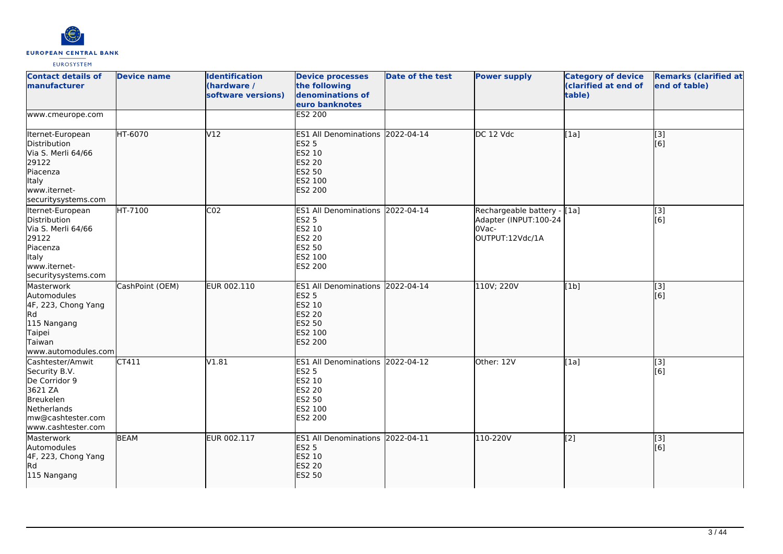

| <b>Contact details of</b><br><b>Imanufacturer</b>                                                                                    | <b>Device name</b> | <b>Identification</b><br>(hardware /<br>software versions) | <b>Device processes</b><br>the following<br>denominations of<br>euro banknotes                              | Date of the test | <b>Power supply</b>                                                               | <b>Category of device</b><br>(clarified at end of<br>table) | <b>Remarks (clarified at</b><br>end of table) |
|--------------------------------------------------------------------------------------------------------------------------------------|--------------------|------------------------------------------------------------|-------------------------------------------------------------------------------------------------------------|------------------|-----------------------------------------------------------------------------------|-------------------------------------------------------------|-----------------------------------------------|
| www.cmeurope.com                                                                                                                     |                    |                                                            | <b>ES2 200</b>                                                                                              |                  |                                                                                   |                                                             |                                               |
| Iternet-European<br>Distribution<br>Via S. Merli 64/66<br>29122<br>Piacenza<br>Italy<br>www.iternet-<br>securitysystems.com          | HT-6070            | V12                                                        | ES1 All Denominations 2022-04-14<br><b>ES2 5</b><br>ES2 10<br>ES2 20<br><b>ES2 50</b><br>ES2 100<br>ES2 200 |                  | DC 12 Vdc                                                                         | [1a]                                                        | $\overline{[3]}$<br>[6]                       |
| Iternet-European<br>Distribution<br>Via S. Merli 64/66<br>29122<br>Piacenza<br><b>Italy</b><br>www.iternet-<br>securitysystems.com   | HT-7100            | CO <sub>2</sub>                                            | <b>ES1 All Denominations</b><br>ES2 5<br>ES2 10<br>ES2 20<br>ES2 50<br>ES2 100<br>ES2 200                   | 2022-04-14       | Rechargeable battery - [[1a]<br>Adapter (INPUT:100-24<br>OVac-<br>OUTPUT:12Vdc/1A |                                                             | $\overline{[3]}$<br>[6]                       |
| Masterwork<br>Automodules<br>4F, 223, Chong Yang<br>Rd<br>115 Nangang<br>Taipei<br>Taiwan<br>www.automodules.com                     | CashPoint (OEM)    | EUR 002.110                                                | ES1 All Denominations 2022-04-14<br><b>ES2 5</b><br>ES2 10<br><b>ES2 20</b><br>ES2 50<br>ES2 100<br>ES2 200 |                  | 110V; 220V                                                                        | [1b]                                                        | $\overline{[}3]$<br>[6]                       |
| Cashtester/Amwit<br>Security B.V.<br>De Corridor 9<br>3621 ZA<br>Breukelen<br>Netherlands<br>mw@cashtester.com<br>www.cashtester.com | CT411              | V1.81                                                      | <b>ES1 All Denominations</b><br><b>ES2 5</b><br>ES2 10<br>ES2 20<br>ES2 50<br>ES2 100<br>ES2 200            | 2022-04-12       | Other: 12V                                                                        | [1a]                                                        | [3]<br>[6]                                    |
| Masterwork<br>Automodules<br>4F, 223, Chong Yang<br>Rd<br>115 Nangang                                                                | <b>BEAM</b>        | EUR 002.117                                                | ES1 All Denominations 2022-04-11<br><b>ES2 5</b><br><b>ES2 10</b><br><b>ES2 20</b><br><b>ES2 50</b>         |                  | 110-220V                                                                          | $\overline{[2]}$                                            | $\overline{[}3]$<br>[6]                       |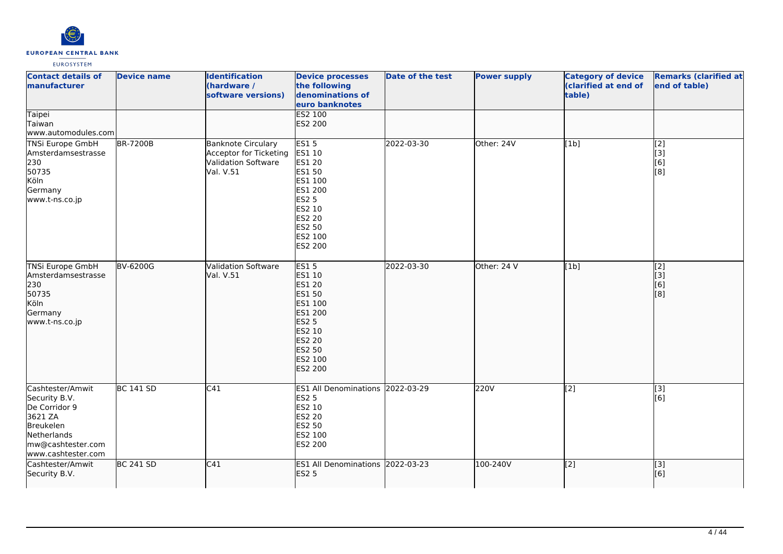

| <b>Contact details of</b><br>manufacturer<br><b>Taipei</b><br>Taiwan                                                                        | <b>Device name</b> | <b>Identification</b><br>(hardware /<br>software versions)                                     | <b>Device processes</b><br>the following<br>denominations of<br>euro banknotes<br>ES2 100<br>ES2 200                                       | Date of the test | <b>Power supply</b> | <b>Category of device</b><br>(clarified at end of<br>table) | <b>Remarks (clarified at</b><br>end of table)                 |
|---------------------------------------------------------------------------------------------------------------------------------------------|--------------------|------------------------------------------------------------------------------------------------|--------------------------------------------------------------------------------------------------------------------------------------------|------------------|---------------------|-------------------------------------------------------------|---------------------------------------------------------------|
| www.automodules.com                                                                                                                         |                    |                                                                                                |                                                                                                                                            |                  |                     |                                                             |                                                               |
| <b>TNSi Europe GmbH</b><br>Amsterdamsestrasse<br>230<br>50735<br>Köln<br>Germany<br>www.t-ns.co.jp                                          | <b>BR-7200B</b>    | <b>Banknote Circulary</b><br>Acceptor for Ticketing<br><b>Validation Software</b><br>Val. V.51 | <b>ES15</b><br>ES1 10<br>ES1 20<br>ES1 50<br>ES1 100<br>ES1 200<br><b>ES2 5</b><br>ES2 10<br>ES2 20<br>ES2 50<br>ES2 100<br>ES2 200        | 2022-03-30       | Other: 24V          | [1b]                                                        | $\overline{[2]}$<br>[3]<br>[6]<br>$\overline{[}8\overline{]}$ |
| <b>TNSi Europe GmbH</b><br>Amsterdamsestrasse<br>230<br>50735<br>Köln<br>Germany<br>www.t-ns.co.jp                                          | <b>BV-6200G</b>    | <b>Validation Software</b><br>Val. V.51                                                        | <b>ES15</b><br>ES1 10<br>ES1 20<br>ES1 50<br>ES1 100<br>ES1 200<br><b>ES2 5</b><br>ES2 10<br><b>ES2 20</b><br>ES2 50<br>ES2 100<br>ES2 200 | 2022-03-30       | Other: 24 V         | [1b]                                                        | $\overline{[2]}$<br>[3]<br>[6]<br>[is]                        |
| Cashtester/Amwit<br>Security B.V.<br>De Corridor 9<br>3621 ZA<br>Breukelen<br><b>Netherlands</b><br>mw@cashtester.com<br>www.cashtester.com | <b>BC 141 SD</b>   | C41                                                                                            | ES1 All Denominations 2022-03-29<br><b>ES2 5</b><br>ES2 10<br>ES2 20<br>ES2 50<br>ES2 100<br>ES2 200                                       |                  | 220V                | $\overline{[2]}$                                            | $\overline{[}3]$<br>[6]                                       |
| Cashtester/Amwit<br>Security B.V.                                                                                                           | <b>BC 241 SD</b>   | C41                                                                                            | ES1 All Denominations 2022-03-23<br><b>ES2 5</b>                                                                                           |                  | 100-240V            | $\overline{[2]}$                                            | [3]<br>[6]                                                    |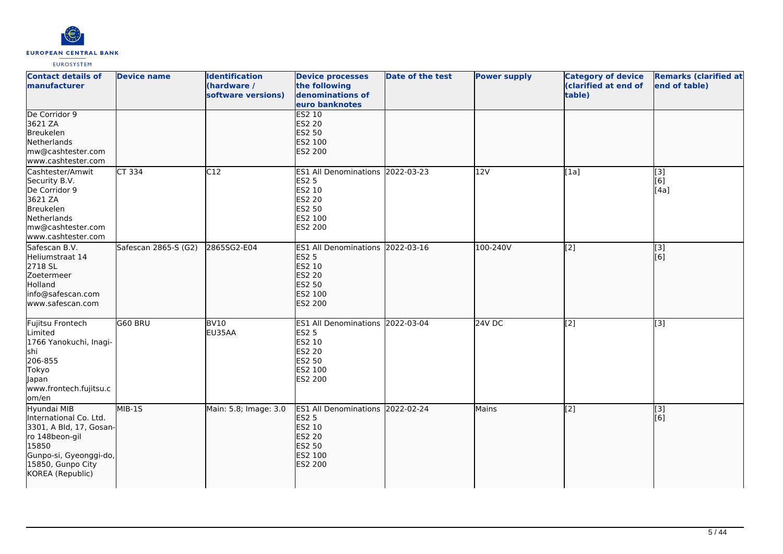

| <b>Contact details of</b><br>manufacturer                                                                                                                      | <b>Device name</b>   | <b>Identification</b><br>(hardware /<br>software versions) | <b>Device processes</b><br>the following<br>denominations of<br>euro banknotes                                 | Date of the test | <b>Power supply</b> | <b>Category of device</b><br>(clarified at end of<br>table) | <b>Remarks (clarified at</b><br>end of table) |
|----------------------------------------------------------------------------------------------------------------------------------------------------------------|----------------------|------------------------------------------------------------|----------------------------------------------------------------------------------------------------------------|------------------|---------------------|-------------------------------------------------------------|-----------------------------------------------|
| De Corridor 9<br>3621 ZA<br>Breukelen<br>Netherlands<br>mw@cashtester.com<br>www.cashtester.com                                                                |                      |                                                            | <b>ES2 10</b><br><b>ES2 20</b><br>ES2 50<br>ES2 100<br>ES2 200                                                 |                  |                     |                                                             |                                               |
| Cashtester/Amwit<br>Security B.V.<br>De Corridor 9<br>3621 ZA<br>Breukelen<br>Netherlands<br>mw@cashtester.com<br>www.cashtester.com                           | CT 334               | C12                                                        | ES1 All Denominations 2022-03-23<br>ES2 5<br>ES2 10<br>ES2 20<br><b>ES2 50</b><br>ES2 100<br>ES2 200           |                  | 12V                 | [1a]                                                        | [3]<br>[6]<br>[4a]                            |
| Safescan B.V.<br>Heliumstraat 14<br>2718 SL<br>Zoetermeer<br>Holland<br>info@safescan.com<br>www.safescan.com                                                  | Safescan 2865-S (G2) | 2865SG2-E04                                                | <b>ES1 All Denominations</b><br><b>ES2 5</b><br>ES2 10<br><b>ES2 20</b><br>ES2 50<br>ES2 100<br>ES2 200        | 2022-03-16       | 100-240V            | [2]                                                         | [3]<br>[6]                                    |
| Fujitsu Frontech<br>Limited<br>1766 Yanokuchi, Inagi-<br>shi<br>206-855<br>Tokyo<br>Japan<br>www.frontech.fujitsu.c<br>lom/en                                  | G60 BRU              | BV10<br>EU35AA                                             | <b>ES1 All Denominations</b><br><b>ES2 5</b><br>ES2 10<br>ES2 20<br>ES2 50<br>ES2 100<br>ES2 200               | 2022-03-04       | 24V DC              | [2]                                                         | [3]                                           |
| Hyundai MIB<br>International Co. Ltd.<br>3301, A Bld, 17, Gosan-<br>ro 148beon-gil<br>15850<br>Gunpo-si, Gyeonggi-do,<br>15850, Gunpo City<br>KOREA (Republic) | $MIB-15$             | Main: 5.8; Image: 3.0                                      | <b>ES1 All Denominations</b><br><b>ES2 5</b><br>ES2 10<br><b>ES2 20</b><br>ES2 50<br>ES2 100<br><b>ES2 200</b> | 2022-02-24       | Mains               | $\overline{[2]}$                                            | $\overline{[}$ [3]<br>[6]                     |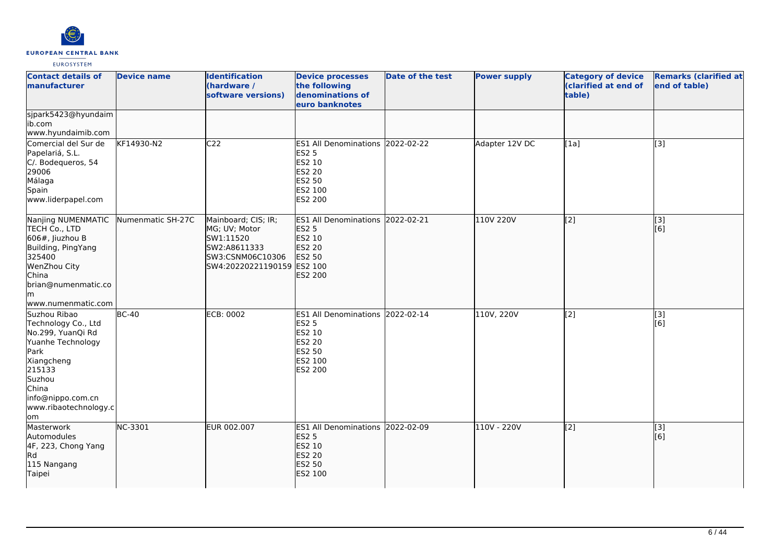

| <b>Contact details of</b><br>manufacturer                                                                                                                                             | <b>Device name</b> | <b>Identification</b><br>(hardware /<br>software versions)                                                          | <b>Device processes</b><br>the following<br>denominations of<br>euro banknotes                              | <b>Date of the test</b> | <b>Power supply</b> | <b>Category of device</b><br>(clarified at end of<br>table) | <b>Remarks (clarified at</b><br>end of table) |
|---------------------------------------------------------------------------------------------------------------------------------------------------------------------------------------|--------------------|---------------------------------------------------------------------------------------------------------------------|-------------------------------------------------------------------------------------------------------------|-------------------------|---------------------|-------------------------------------------------------------|-----------------------------------------------|
| sjpark5423@hyundaim<br>ib.com<br>www.hyundaimib.com                                                                                                                                   |                    |                                                                                                                     |                                                                                                             |                         |                     |                                                             |                                               |
| Comercial del Sur de<br>Papelariá, S.L.<br>C/. Bodequeros, 54<br>29006<br>Málaga<br>Spain<br>www.liderpapel.com                                                                       | KF14930-N2         | C <sub>22</sub>                                                                                                     | ES1 All Denominations 2022-02-22<br><b>ES2 5</b><br>ES2 10<br>ES2 20<br>ES2 50<br>ES2 100<br>ES2 200        |                         | Adapter 12V DC      | [1a]                                                        | $\overline{[3]}$                              |
| Nanjing NUMENMATIC<br>TECH Co., LTD<br>$606#$ , Jiuzhou B<br>Building, PingYang<br>325400<br>WenZhou City<br><b>China</b><br>brian@numenmatic.co<br>lm<br>www.numenmatic.com          | Numenmatic SH-27C  | Mainboard; CIS; IR;<br>MG; UV; Motor<br>SW1:11520<br>SW2:A8611333<br>SW3:CSNM06C10306<br>SW4:20220221190159 ES2 100 | ES1 All Denominations 2022-02-21<br><b>ES2 5</b><br>ES2 10<br>ES2 20<br>ES2 50<br><b>ES2 200</b>            |                         | 110V 220V           | $\overline{[2]}$                                            | $\overline{[3]}$<br>[6]                       |
| Suzhou Ribao<br>Technology Co., Ltd<br>No.299, YuanQi Rd<br>Yuanhe Technology<br>Park<br>Xiangcheng<br>215133<br>Suzhou<br>China<br>info@nippo.com.cn<br>www.ribaotechnology.c<br>lom | $BC-40$            | <b>ECB: 0002</b>                                                                                                    | ES1 All Denominations 2022-02-14<br><b>ES2 5</b><br>ES2 10<br><b>ES2 20</b><br>ES2 50<br>ES2 100<br>ES2 200 |                         | 110V, 220V          | [2]                                                         | [3]<br>[6]                                    |
| Masterwork<br>Automodules<br>4F, 223, Chong Yang<br><b>IRd</b><br>115 Nangang<br>Taipei                                                                                               | NC-3301            | EUR 002.007                                                                                                         | <b>ES1 All Denominations</b><br><b>ES2 5</b><br>ES2 10<br>ES2 20<br>ES2 50<br>ES2 100                       | 2022-02-09              | 110V - 220V         | $\overline{[2]}$                                            | $\overline{[}3]$<br>[[6]                      |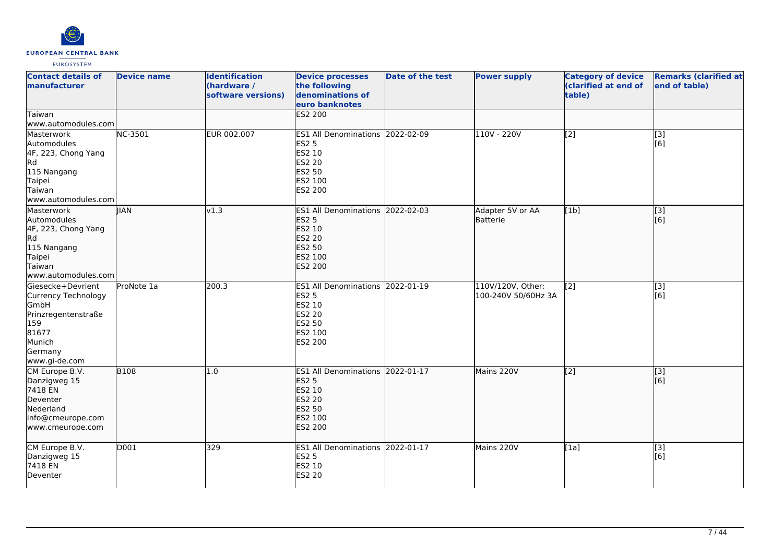

| <b>Contact details of</b><br>manufacturer<br>Taiwan<br>www.automodules.com                                                            | <b>Device name</b> | <b>Identification</b><br>(hardware /<br>software versions) | <b>Device processes</b><br>the following<br>denominations of<br>euro banknotes<br>ES2 200                                 | <b>Date of the test</b> | <b>Power supply</b>                      | <b>Category of device</b><br>(clarified at end of<br>table) | <b>Remarks (clarified at</b><br>end of table) |
|---------------------------------------------------------------------------------------------------------------------------------------|--------------------|------------------------------------------------------------|---------------------------------------------------------------------------------------------------------------------------|-------------------------|------------------------------------------|-------------------------------------------------------------|-----------------------------------------------|
| Masterwork<br>Automodules<br>4F, 223, Chong Yang<br>Rd<br>115 Nangang<br>Taipei<br>Taiwan<br>www.automodules.com                      | NC-3501            | EUR 002.007                                                | ES1 All Denominations 2022-02-09<br><b>ES2 5</b><br>ES2 10<br>ES2 20<br>ES2 50<br>ES2 100<br>ES2 200                      |                         | 110V - 220V                              | $\overline{[2]}$                                            | $[3]$<br>[6]                                  |
| Masterwork<br>Automodules<br>4F, 223, Chong Yang<br>Rd.<br>115 Nangang<br>Taipei<br>Taiwan<br>www.automodules.com                     | <b>IIAN</b>        | v1.3                                                       | ES1 All Denominations 2022-02-03<br><b>ES2 5</b><br>ES2 10<br><b>ES2 20</b><br><b>ES2 50</b><br>ES2 100<br><b>ES2 200</b> |                         | Adapter 5V or AA<br>Batterie             | [1b]                                                        | $\overline{[3]}$<br>[6]                       |
| lGiesecke+Devrient<br><b>Currency Technology</b><br>GmbH<br>Prinzregentenstraße<br>159<br>81677<br>Munich<br>Germany<br>www.gi-de.com | ProNote 1a         | 200.3                                                      | ES1 All Denominations 2022-01-19<br><b>ES2 5</b><br>ES2 10<br>ES2 20<br>ES2 50<br>ES2 100<br>ES2 200                      |                         | 110V/120V, Other:<br>100-240V 50/60Hz 3A | [2]                                                         | $[3]$<br>[6]                                  |
| CM Europe B.V.<br>Danzigweg 15<br>7418 EN<br>Deventer<br>Nederland<br>info@cmeurope.com<br>www.cmeurope.com                           | <b>B108</b>        | 1.0                                                        | ES1 All Denominations 2022-01-17<br><b>ES2 5</b><br>ES2 10<br><b>ES2 20</b><br><b>ES2 50</b><br>ES2 100<br><b>ES2 200</b> |                         | Mains 220V                               | $\overline{[2]}$                                            | $\overline{[}3]$<br>[6]                       |
| CM Europe B.V.<br>Danzigweg 15<br>7418 EN<br>Deventer                                                                                 | D <sub>001</sub>   | 329                                                        | ES1 All Denominations 2022-01-17<br><b>ES2 5</b><br>ES2 10<br><b>ES2 20</b>                                               |                         | Mains 220V                               | [1a]                                                        | [3]<br>[6]                                    |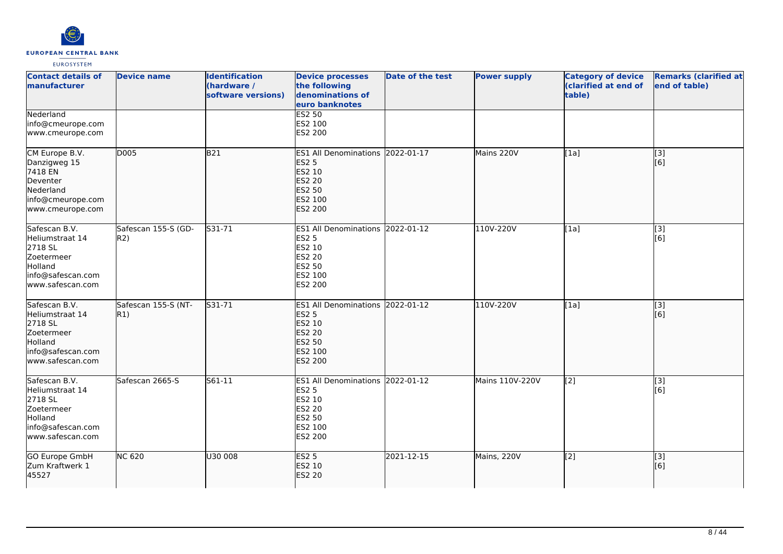

| <b>Contact details of</b><br>manufacturer                                                                     | <b>Device name</b>          | <b>Identification</b><br>(hardware /<br>software versions) | <b>Device processes</b><br>the following<br>denominations of<br>euro banknotes                                     | <b>Date of the test</b> | <b>Power supply</b> | <b>Category of device</b><br>(clarified at end of<br>table) | <b>Remarks (clarified at</b><br>end of table) |
|---------------------------------------------------------------------------------------------------------------|-----------------------------|------------------------------------------------------------|--------------------------------------------------------------------------------------------------------------------|-------------------------|---------------------|-------------------------------------------------------------|-----------------------------------------------|
| Nederland<br>info@cmeurope.com<br>www.cmeurope.com                                                            |                             |                                                            | <b>ES2 50</b><br>ES2 100<br>ES2 200                                                                                |                         |                     |                                                             |                                               |
| CM Europe B.V.<br>Danzigweg 15<br>7418 EN<br>Deventer<br>Nederland<br>info@cmeurope.com<br>www.cmeurope.com   | D005                        | B21                                                        | <b>ES1 All Denominations</b><br><b>ES2 5</b><br>ES2 10<br><b>ES2 20</b><br>ES2 50<br>ES2 100<br><b>ES2 200</b>     | 2022-01-17              | Mains 220V          | [1a]                                                        | [3]<br>[6]                                    |
| Safescan B.V.<br>Heliumstraat 14<br>2718 SL<br>Zoetermeer<br>Holland<br>info@safescan.com<br>www.safescan.com | Safescan 155-S (GD-<br>R2)  | S31-71                                                     | <b>ES1 All Denominations</b><br><b>ES2 5</b><br>ES2 10<br>ES2 20<br><b>ES2 50</b><br>ES2 100<br>ES2 200            | 2022-01-12              | 110V-220V           | [1a]                                                        | [3]<br>[6]                                    |
| Safescan B.V.<br>Heliumstraat 14<br>2718 SL<br>Zoetermeer<br>Holland<br>info@safescan.com<br>www.safescan.com | Safescan 155-S (NT-<br> R1) | S31-71                                                     | ES1 All Denominations 2022-01-12<br><b>ES2 5</b><br>ES2 10<br><b>ES2 20</b><br><b>ES2 50</b><br>ES2 100<br>ES2 200 |                         | 110V-220V           | [1a]                                                        | $\overline{[3]}$<br>[6]                       |
| Safescan B.V.<br>Heliumstraat 14<br>2718 SL<br>Zoetermeer<br>Holland<br>info@safescan.com<br>www.safescan.com | Safescan 2665-S             | $561 - 11$                                                 | ES1 All Denominations 2022-01-12<br><b>ES2 5</b><br>ES2 10<br><b>ES2 20</b><br>ES2 50<br>ES2 100<br>ES2 200        |                         | Mains 110V-220V     | $\overline{[2]}$                                            | $\overline{[3]}$<br>[6]                       |
| GO Europe GmbH<br>Zum Kraftwerk 1<br>45527                                                                    | <b>NC 620</b>               | U30 008                                                    | <b>ES2 5</b><br>ES2 10<br><b>ES2 20</b>                                                                            | 2021-12-15              | Mains, 220V         | $\left[2\right]$                                            | [3]<br>[6]                                    |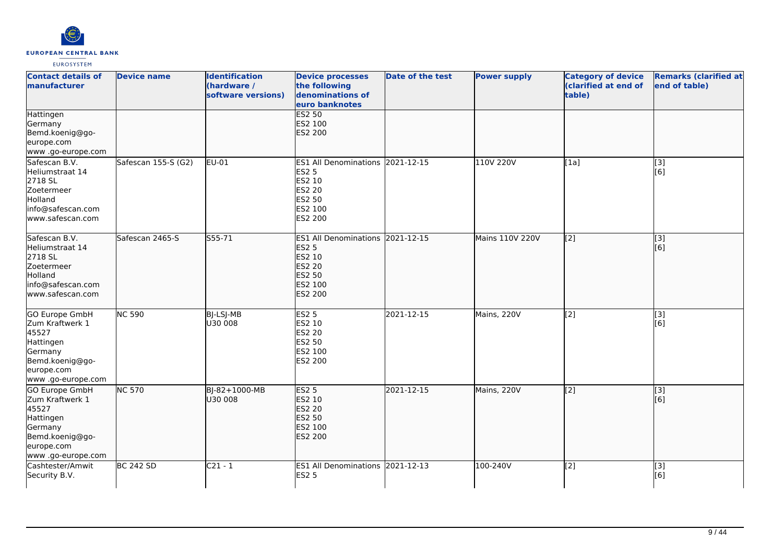

| <b>Contact details of</b><br><b>manufacturer</b>                                                                                 | <b>Device name</b>  | <b>Identification</b><br>(hardware /<br>software versions) | <b>Device processes</b><br>the following<br>denominations of<br>euro banknotes                                            | <b>Date of the test</b> | <b>Power supply</b> | <b>Category of device</b><br>(clarified at end of<br>table) | <b>Remarks (clarified at</b><br>end of table) |
|----------------------------------------------------------------------------------------------------------------------------------|---------------------|------------------------------------------------------------|---------------------------------------------------------------------------------------------------------------------------|-------------------------|---------------------|-------------------------------------------------------------|-----------------------------------------------|
| Hattingen<br>Germany<br>Bemd.koenig@go-<br>europe.com<br>www .go-europe.com                                                      |                     |                                                            | <b>ES2 50</b><br>ES2 100<br>ES2 200                                                                                       |                         |                     |                                                             |                                               |
| Safescan B.V.<br>Heliumstraat 14<br>2718 SL<br>Zoetermeer<br>Holland<br>info@safescan.com<br>www.safescan.com                    | Safescan 155-S (G2) | EU-01                                                      | ES1 All Denominations 2021-12-15<br><b>ES2 5</b><br>ES2 10<br>ES2 20<br>ES2 50<br>ES2 100<br>ES2 200                      |                         | 110V 220V           | [1a]                                                        | [3]<br>[6]                                    |
| Safescan B.V.<br>Heliumstraat 14<br>2718 SL<br>Zoetermeer<br>Holland<br>info@safescan.com<br>www.safescan.com                    | Safescan 2465-S     | S55-71                                                     | ES1 All Denominations 2021-12-15<br><b>ES2 5</b><br>ES2 10<br><b>ES2 20</b><br><b>ES2 50</b><br>ES2 100<br><b>ES2 200</b> |                         | Mains 110V 220V     | $\overline{[2]}$                                            | $\overline{[}3]$<br>[6]                       |
| <b>GO Europe GmbH</b><br>Zum Kraftwerk 1<br>45527<br>Hattingen<br>Germany<br>Bemd.koenig@go-<br>europe.com<br>www .go-europe.com | <b>NC 590</b>       | BJ-LSJ-MB<br>U30 008                                       | ES2 <sub>5</sub><br>ES2 10<br>ES2 20<br>ES2 50<br>ES2 100<br>ES2 200                                                      | 2021-12-15              | Mains, 220V         | $\overline{[2]}$                                            | $\overline{[3]}$<br>[6]                       |
| GO Europe GmbH<br>Zum Kraftwerk 1<br>45527<br>Hattingen<br>Germany<br>Bemd.koenig@go-<br>europe.com<br>www .go-europe.com        | <b>NC 570</b>       | BJ-82+1000-MB<br>U30 008                                   | <b>ES2 5</b><br>ES2 10<br>ES2 20<br><b>ES2 50</b><br>ES2 100<br><b>ES2 200</b>                                            | 2021-12-15              | Mains, 220V         | [[2]                                                        | [3]<br>[6]                                    |
| Cashtester/Amwit<br>Security B.V.                                                                                                | <b>BC 242 SD</b>    | $C21 - 1$                                                  | ES1 All Denominations 2021-12-13<br><b>ES2 5</b>                                                                          |                         | 100-240V            | $\overline{[2]}$                                            | $\overline{[}3]$<br>[6]                       |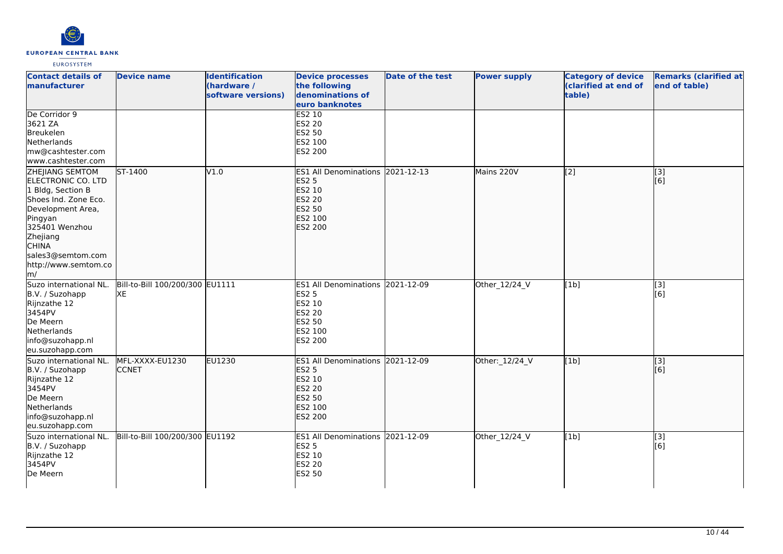

| <b>Contact details of</b><br><b>Imanufacturer</b>                                                                                                                                                                           | <b>Device name</b>                    | <b>Identification</b><br>(hardware /<br>software versions) | <b>Device processes</b><br>the following<br>denominations of<br>euro banknotes                                            | Date of the test | <b>Power supply</b> | <b>Category of device</b><br>(clarified at end of<br>table) | <b>Remarks (clarified at</b><br>end of table) |
|-----------------------------------------------------------------------------------------------------------------------------------------------------------------------------------------------------------------------------|---------------------------------------|------------------------------------------------------------|---------------------------------------------------------------------------------------------------------------------------|------------------|---------------------|-------------------------------------------------------------|-----------------------------------------------|
| De Corridor 9<br>3621 ZA<br>Breukelen<br>Netherlands<br>mw@cashtester.com<br>www.cashtester.com                                                                                                                             |                                       |                                                            | <b>ES2 10</b><br>ES2 20<br>ES2 50<br>ES2 100<br>ES2 200                                                                   |                  |                     |                                                             |                                               |
| <b>ZHEJIANG SEMTOM</b><br>ELECTRONIC CO. LTD<br>1 Bldg, Section B<br>Shoes Ind. Zone Eco.<br>Development Area,<br>Pingyan<br>325401 Wenzhou<br>Zhejiang<br><b>CHINA</b><br>sales3@semtom.com<br>http://www.semtom.co<br>lm/ | ST-1400                               | V1.0                                                       | ES1 All Denominations 2021-12-13<br><b>ES2 5</b><br>ES2 10<br><b>ES2 20</b><br><b>ES2 50</b><br>ES2 100<br><b>ES2 200</b> |                  | Mains 220V          | $\overline{[2]}$                                            | $\overline{[}3]$<br>[6]                       |
| Suzo international NL.<br>B.V. / Suzohapp<br>Rijnzathe 12<br>3454PV<br>De Meern<br>Netherlands<br>info@suzohapp.nl<br>eu.suzohapp.com                                                                                       | Bill-to-Bill 100/200/300 EU1111<br>XE |                                                            | ES1 All Denominations 2021-12-09<br><b>ES2 5</b><br>ES2 10<br><b>ES2 20</b><br>ES2 50<br>ES2 100<br>ES2 200               |                  | Other_12/24_V       | [1b]                                                        | [3]<br>[6]                                    |
| Suzo international NL.<br>B.V. / Suzohapp<br>Rijnzathe 12<br>3454PV<br>De Meern<br>Netherlands<br>info@suzohapp.nl<br>eu.suzohapp.com                                                                                       | MFL-XXXX-EU1230<br><b>CCNET</b>       | <b>EU1230</b>                                              | ES1 All Denominations 2021-12-09<br><b>ES2 5</b><br><b>ES2 10</b><br><b>ES2 20</b><br>ES2 50<br>ES2 100<br><b>ES2 200</b> |                  | Other: 12/24_V      | [1b]                                                        | $\overline{[}3]$<br>[6]                       |
| Suzo international NL.<br>B.V. / Suzohapp<br>Rijnzathe 12<br>3454PV<br>De Meern                                                                                                                                             | Bill-to-Bill 100/200/300 EU1192       |                                                            | ES1 All Denominations 2021-12-09<br><b>ES2 5</b><br>ES2 10<br>ES2 20<br><b>ES2 50</b>                                     |                  | Other_12/24_V       | [1b]                                                        | $[3]$<br>[6]                                  |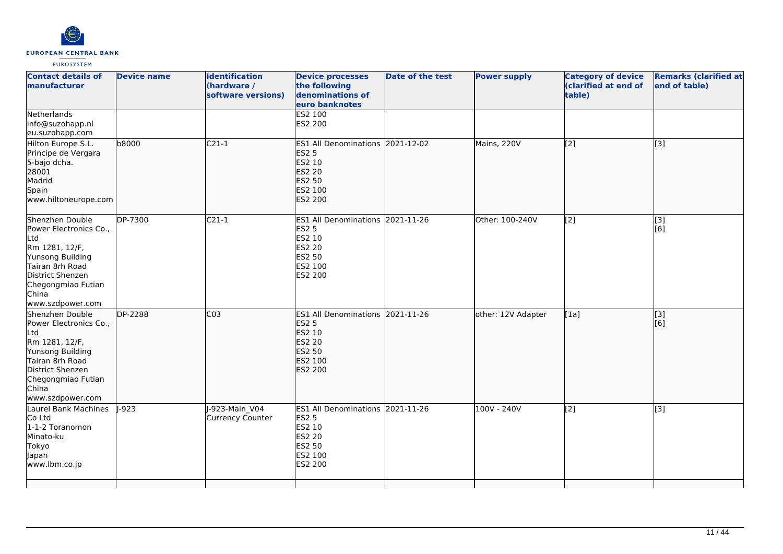

| <b>Contact details of</b><br><b>Imanufacturer</b>                                                                                                                                | <b>Device name</b> | <b>Identification</b><br>(hardware /<br>software versions) | <b>Device processes</b><br>the following<br>denominations of<br>euro banknotes                                     | Date of the test | <b>Power supply</b> | <b>Category of device</b><br>(clarified at end of<br>table) | <b>Remarks (clarified at</b><br>end of table) |
|----------------------------------------------------------------------------------------------------------------------------------------------------------------------------------|--------------------|------------------------------------------------------------|--------------------------------------------------------------------------------------------------------------------|------------------|---------------------|-------------------------------------------------------------|-----------------------------------------------|
| Netherlands<br>info@suzohapp.nl<br>eu.suzohapp.com                                                                                                                               |                    |                                                            | ES2 100<br>ES2 200                                                                                                 |                  |                     |                                                             |                                               |
| Hilton Europe S.L.<br>Principe de Vergara<br>5-bajo dcha.<br>28001<br>Madrid<br>Spain<br>www.hiltoneurope.com                                                                    | b8000              | $C21-1$                                                    | ES1 All Denominations 2021-12-02<br><b>ES2 5</b><br>ES2 10<br><b>ES2 20</b><br><b>ES2 50</b><br>ES2 100<br>ES2 200 |                  | Mains, 220V         | $\overline{[2]}$                                            | $\overline{[}3]$                              |
| Shenzhen Double<br>Power Electronics Co.,<br>Ltd<br>Rm 1281, 12/F,<br>Yunsong Building<br>Tairan 8rh Road<br>District Shenzen<br>Chegongmiao Futian<br>China<br>www.szdpower.com | DP-7300            | $C21-1$                                                    | ES1 All Denominations 2021-11-26<br><b>ES2 5</b><br>ES2 10<br>ES2 20<br>ES2 50<br>ES2 100<br>ES2 200               |                  | Other: 100-240V     | $\overline{[2]}$                                            | [3]<br>[6]                                    |
| Shenzhen Double<br>Power Electronics Co.,<br>Ltd<br>Rm 1281, 12/F,<br>Yunsong Building<br>Tairan 8rh Road<br>District Shenzen<br>Chegongmiao Futian<br>China<br>www.szdpower.com | DP-2288            | CO <sub>3</sub>                                            | ES1 All Denominations 2021-11-26<br><b>ES2 5</b><br>ES2 10<br><b>ES2 20</b><br>ES2 50<br>ES2 100<br>ES2 200        |                  | other: 12V Adapter  | [1a]                                                        | [3]<br>[6]                                    |
| Laurel Bank Machines<br>Co Ltd<br>1-1-2 Toranomon<br>Minato-ku<br>Tokyo<br>Japan<br>www.lbm.co.jp                                                                                | $I - 923$          | J-923-Main V04<br><b>Currency Counter</b>                  | ES1 All Denominations 2021-11-26<br><b>ES2 5</b><br>ES2 10<br>ES2 20<br>ES2 50<br>ES2 100<br>ES2 200               |                  | 100V - 240V         | $\overline{[2]}$                                            | $\overline{[3]}$                              |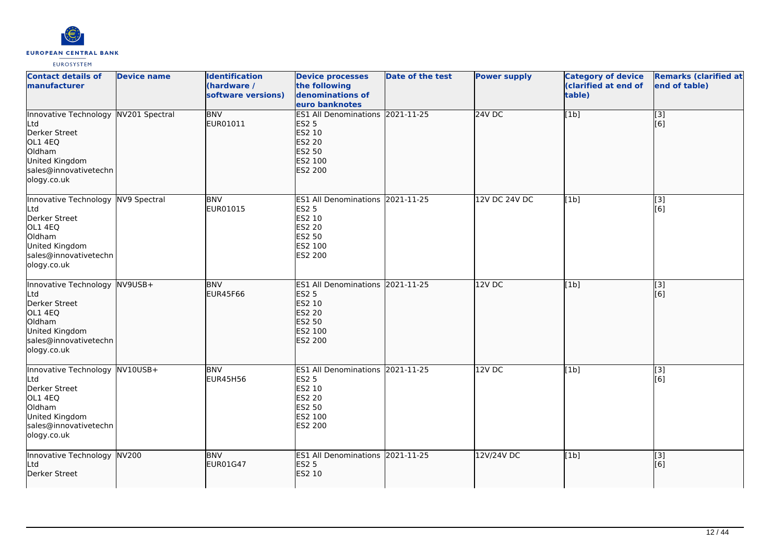

| <b>Contact details of</b><br>manufacturer                                                                                                   | <b>Device name</b> | <b>Identification</b><br>(hardware /<br>software versions) | <b>Device processes</b><br>the following<br>denominations of<br>euro banknotes                                     | <b>Date of the test</b> | <b>Power supply</b> | <b>Category of device</b><br>(clarified at end of<br>table) | <b>Remarks (clarified at</b><br>end of table) |
|---------------------------------------------------------------------------------------------------------------------------------------------|--------------------|------------------------------------------------------------|--------------------------------------------------------------------------------------------------------------------|-------------------------|---------------------|-------------------------------------------------------------|-----------------------------------------------|
| Innovative Technology NV201 Spectral<br>Ltd<br>Derker Street<br>OL1 4EQ<br>Oldham<br>United Kingdom<br>sales@innovativetechn<br>ology.co.uk |                    | <b>BNV</b><br>EUR01011                                     | ES1 All Denominations 2021-11-25<br><b>ES2 5</b><br>ES2 10<br><b>ES2 20</b><br>ES2 50<br>ES2 100<br><b>ES2 200</b> |                         | <b>24V DC</b>       | [1b]                                                        | $\overline{[}3]$<br>[6]                       |
| Innovative Technology NV9 Spectral<br>Ltd<br>Derker Street<br>OL1 4EQ<br>Oldham<br>United Kingdom<br>sales@innovativetechn<br>ology.co.uk   |                    | <b>BNV</b><br>EUR01015                                     | ES1 All Denominations 2021-11-25<br><b>ES2 5</b><br>ES2 10<br><b>ES2 20</b><br>ES2 50<br>ES2 100<br>ES2 200        |                         | 12V DC 24V DC       | [1b]                                                        | $\overline{[}3]$<br>[6]                       |
| Innovative Technology NV9USB+<br>Ltd<br>Derker Street<br>OL1 4EQ<br>Oldham<br>United Kingdom<br>sales@innovativetechn<br>ology.co.uk        |                    | <b>BNV</b><br><b>EUR45F66</b>                              | ES1 All Denominations 2021-11-25<br><b>ES2 5</b><br>ES2 10<br><b>ES2 20</b><br>ES2 50<br>ES2 100<br>ES2 200        |                         | 12V DC              | [1b]                                                        | [3]<br>[6]                                    |
| Innovative Technology NV10USB+<br>Ltd<br>Derker Street<br>OL1 4EQ<br>Oldham<br>United Kingdom<br>sales@innovativetechn<br>ology.co.uk       |                    | <b>BNV</b><br><b>EUR45H56</b>                              | ES1 All Denominations 2021-11-25<br><b>ES2 5</b><br>ES2 10<br><b>ES2 20</b><br>ES2 50<br>ES2 100<br>ES2 200        |                         | 12VDC               | [1b]                                                        | $\overline{[3]}$<br>[6]                       |
| Innovative Technology NV200<br>Ltd<br>Derker Street                                                                                         |                    | <b>BNV</b><br><b>EUR01G47</b>                              | ES1 All Denominations 2021-11-25<br><b>ES2 5</b><br>ES2 10                                                         |                         | 12V/24V DC          | [1b]                                                        | $\overline{[}3]$<br>[6]                       |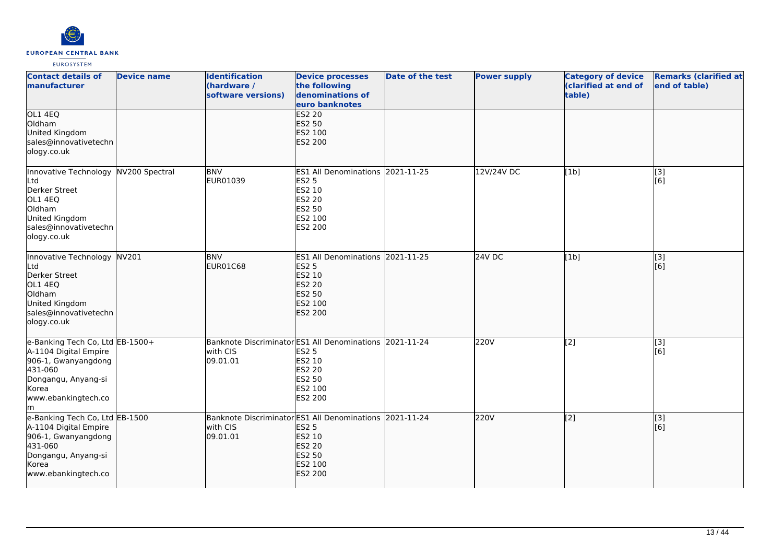

| <b>Contact details of</b><br>manufacturer                                                                                                               | <b>Device name</b> | <b>Identification</b><br>(hardware /<br>software versions)           | <b>Device processes</b><br>the following<br>denominations of<br>euro banknotes                                 | <b>Date of the test</b> | <b>Power supply</b> | <b>Category of device</b><br>(clarified at end of<br>table) | <b>Remarks (clarified at</b><br>end of table) |
|---------------------------------------------------------------------------------------------------------------------------------------------------------|--------------------|----------------------------------------------------------------------|----------------------------------------------------------------------------------------------------------------|-------------------------|---------------------|-------------------------------------------------------------|-----------------------------------------------|
| OL1 4EQ<br>Oldham<br>United Kingdom<br>sales@innovativetechn<br>ology.co.uk                                                                             |                    |                                                                      | <b>ES2 20</b><br>ES2 50<br>ES2 100<br>ES2 200                                                                  |                         |                     |                                                             |                                               |
| Innovative Technology NV200 Spectral<br>Ltd<br>Derker Street<br>OL1 4EQ<br>Oldham<br>United Kingdom<br>sales@innovativetechn<br>ology.co.uk             |                    | <b>BNV</b><br>EUR01039                                               | ES1 All Denominations 2021-11-25<br>ES2 5<br>ES2 10<br><b>ES2 20</b><br>ES2 50<br>ES2 100<br>ES2 200           |                         | 12V/24V DC          | [1b]                                                        | $\overline{[3]}$<br>[6]                       |
| Innovative Technology NV201<br>Ltd<br>Derker Street<br>OL1 4EQ<br>Oldham<br>United Kingdom<br>sales@innovativetechn<br>ology.co.uk                      |                    | <b>BNV</b><br><b>EUR01C68</b>                                        | <b>ES1 All Denominations</b><br><b>ES2 5</b><br>ES2 10<br>ES2 20<br><b>ES2 50</b><br>ES2 100<br><b>ES2 200</b> | 2021-11-25              | 24V DC              | [1b]                                                        | [3]<br>[6]                                    |
| e-Banking Tech Co, Ltd EB-1500+<br>A-1104 Digital Empire<br>906-1, Gwanyangdong<br>431-060<br>Dongangu, Anyang-si<br>Korea<br>www.ebankingtech.co<br>lm |                    | Banknote Discriminator ES1 All Denominations<br>with CIS<br>09.01.01 | <b>ES2 5</b><br>ES2 10<br>ES2 20<br><b>ES2 50</b><br>ES2 100<br>ES2 200                                        | 2021-11-24              | 220V                | [2]                                                         | [3]<br>[6]                                    |
| e-Banking Tech Co, Ltd EB-1500<br>A-1104 Digital Empire<br>906-1, Gwanyangdong<br>431-060<br>Dongangu, Anyang-si<br>Korea<br>www.ebankingtech.co        |                    | Banknote Discriminator ES1 All Denominations<br>with CIS<br>09.01.01 | <b>ES2 5</b><br>ES2 10<br><b>ES2 20</b><br>ES2 50<br>ES2 100<br><b>ES2 200</b>                                 | 2021-11-24              | 220V                | $\overline{[2]}$                                            | [3]<br>[6]                                    |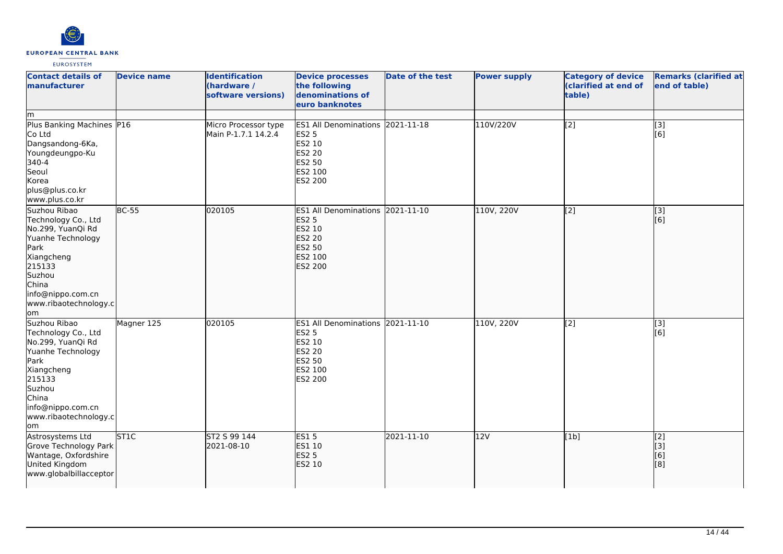

| <b>Contact details of</b><br>manufacturer                                                                                                                                             | <b>Device name</b> | <b>Identification</b><br>(hardware /<br>software versions) | <b>Device processes</b><br>the following<br>denominations of<br>euro banknotes                                            | <b>Date of the test</b> | <b>Power supply</b> | <b>Category of device</b><br>(clarified at end of<br>table) | <b>Remarks (clarified at</b><br>end of table)        |
|---------------------------------------------------------------------------------------------------------------------------------------------------------------------------------------|--------------------|------------------------------------------------------------|---------------------------------------------------------------------------------------------------------------------------|-------------------------|---------------------|-------------------------------------------------------------|------------------------------------------------------|
| lm<br>Plus Banking Machines P16<br>Co Ltd<br>Dangsandong-6Ka,<br>Youngdeungpo-Ku<br>340-4<br>Seoul<br>Korea<br>plus@plus.co.kr<br>www.plus.co.kr                                      |                    | Micro Processor type<br>Main P-1.7.1 14.2.4                | ES1 All Denominations 2021-11-18<br><b>ES2 5</b><br><b>ES2 10</b><br><b>ES2 20</b><br><b>ES2 50</b><br>ES2 100<br>ES2 200 |                         | 110V/220V           | $\overline{[2]}$                                            | $\overline{[3]}$<br>[6]                              |
| Suzhou Ribao<br>Technology Co., Ltd<br>No.299, YuanQi Rd<br>Yuanhe Technology<br>Park<br>Xiangcheng<br>215133<br>Suzhou<br>China<br>info@nippo.com.cn<br>www.ribaotechnology.c<br>lom | $BC-55$            | 020105                                                     | <b>ES1 All Denominations</b><br><b>ES2 5</b><br>ES2 10<br><b>ES2 20</b><br><b>ES2 50</b><br>ES2 100<br><b>ES2 200</b>     | 2021-11-10              | 110V, 220V          | $\overline{[2]}$                                            | $\overline{[}3]$<br>[6]                              |
| Suzhou Ribao<br>Technology Co., Ltd<br>No.299, YuanQi Rd<br>Yuanhe Technology<br>Park<br>Xiangcheng<br>215133<br>Suzhou<br>China<br>info@nippo.com.cn<br>www.ribaotechnology.c<br>lom | Magner 125         | 020105                                                     | <b>ES1 All Denominations</b><br>ES2 5<br>ES2 10<br><b>ES2 20</b><br><b>ES2 50</b><br>ES2 100<br>ES2 200                   | 2021-11-10              | 110V, 220V          | [2]                                                         | $\boxed{[3]}$<br>$\overline{[}6\overline{]}$         |
| Astrosystems Ltd<br>Grove Technology Park<br>Wantage, Oxfordshire<br>United Kingdom<br>www.globalbillacceptor                                                                         | <b>ST1C</b>        | ST2 S 99 144<br>2021-08-10                                 | <b>ES15</b><br>ES1 10<br><b>ES2 5</b><br>ES2 10                                                                           | 2021-11-10              | 12V                 | [1b]                                                        | [2]<br>$\begin{bmatrix} 3 \\ 6 \end{bmatrix}$<br>[8] |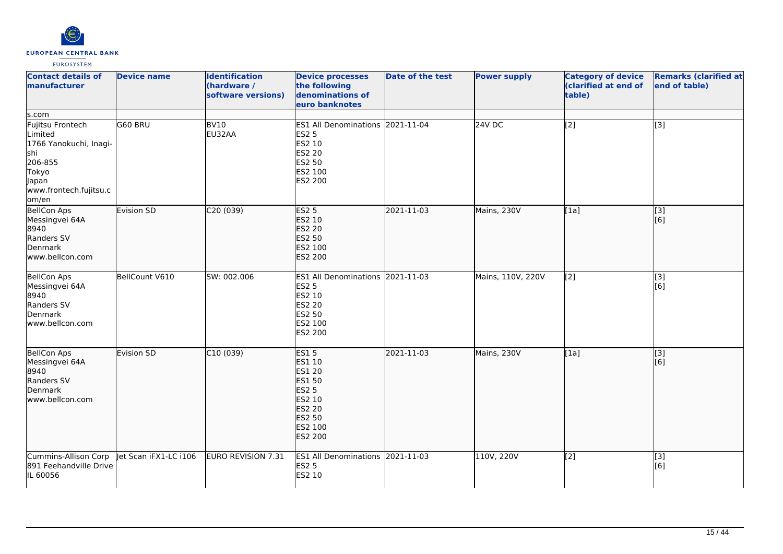

| <b>Contact details of</b><br>manufacturer                                                                | <b>Device name</b>    | <b>Identification</b><br>(hardware /<br>software versions) | <b>Device processes</b><br>the following<br>denominations of<br>euro banknotes                                       | <b>Date of the test</b> | <b>Power supply</b> | <b>Category of device</b><br>(clarified at end of<br>table) | <b>Remarks (clarified at</b><br>end of table) |
|----------------------------------------------------------------------------------------------------------|-----------------------|------------------------------------------------------------|----------------------------------------------------------------------------------------------------------------------|-------------------------|---------------------|-------------------------------------------------------------|-----------------------------------------------|
| s.com<br>Fujitsu Frontech                                                                                | G60 BRU               | BV <sub>10</sub>                                           | ES1 All Denominations 2021-11-04                                                                                     |                         | 24V <sub>DC</sub>   | $\overline{[2]}$                                            | $\overline{[3]}$                              |
| Limited<br>1766 Yanokuchi, Inagi-<br>shi<br>206-855<br>Tokyo<br>Japan<br>www.frontech.fujitsu.c<br>om/en |                       | EU32AA                                                     | <b>ES2 5</b><br>ES2 10<br><b>ES2 20</b><br>ES2 50<br>ES2 100<br>ES2 200                                              |                         |                     |                                                             |                                               |
| BellCon Aps<br>Messingvei 64A<br>8940<br>Randers SV<br>Denmark<br>www.bellcon.com                        | Evision SD            | C20(039)                                                   | <b>ES2 5</b><br>ES2 10<br><b>ES2 20</b><br>ES2 50<br>ES2 100<br>ES2 200                                              | 2021-11-03              | Mains, 230V         | [1a]                                                        | $\overline{[}3]$<br>[6]                       |
| <b>BellCon Aps</b><br>Messingvei 64A<br>8940<br>Randers SV<br>Denmark<br>www.bellcon.com                 | BellCount V610        | SW: 002.006                                                | ES1 All Denominations 2021-11-03<br><b>ES2 5</b><br>ES2 10<br>ES2 20<br>ES2 50<br>ES2 100<br>ES2 200                 |                         | Mains, 110V, 220V   | [2]                                                         | $\overline{[3]}$<br>[6]                       |
| <b>BellCon Aps</b><br>Messingvei 64A<br>8940<br>Randers SV<br>Denmark<br>www.bellcon.com                 | Evision SD            | C10(039)                                                   | <b>ES15</b><br>ES1 10<br>ES1 20<br>ES1 50<br><b>ES2 5</b><br>ES2 10<br>ES2 20<br>ES2 50<br>ES2 100<br><b>ES2 200</b> | 2021-11-03              | Mains, 230V         | [1a]                                                        | $\overline{[}3]$<br>[6]                       |
| Cummins-Allison Corp<br>891 Feehandville Drive<br>IL 60056                                               | Jet Scan iFX1-LC i106 | EURO REVISION 7.31                                         | ES1 All Denominations 2021-11-03<br><b>ES2 5</b><br>ES2 10                                                           |                         | 110V, 220V          | [2]                                                         | [3]<br>[6]                                    |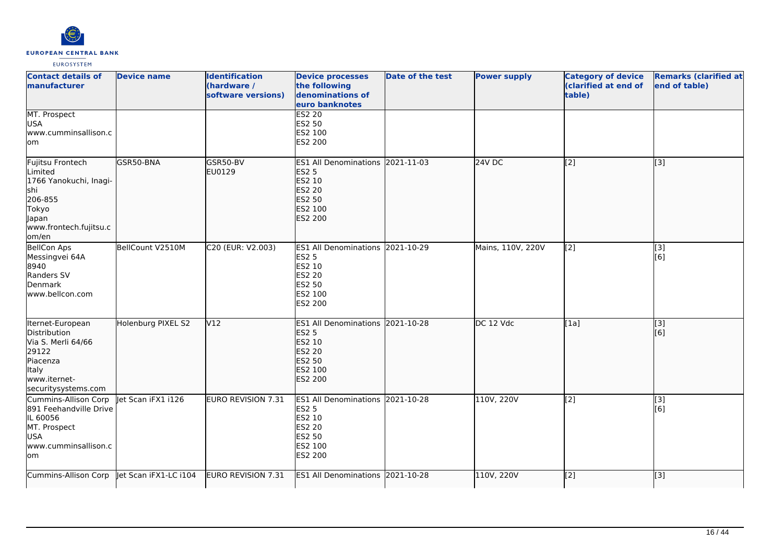

| <b>Contact details of</b><br><b>Imanufacturer</b>                                                                                    | <b>Device name</b> | <b>Identification</b><br>(hardware /<br>software versions) | <b>Device processes</b><br>the following<br>denominations of<br>euro banknotes                                        | Date of the test | <b>Power supply</b> | <b>Category of device</b><br>(clarified at end of<br>table) | <b>Remarks (clarified at</b><br>end of table) |
|--------------------------------------------------------------------------------------------------------------------------------------|--------------------|------------------------------------------------------------|-----------------------------------------------------------------------------------------------------------------------|------------------|---------------------|-------------------------------------------------------------|-----------------------------------------------|
| MT. Prospect<br><b>USA</b><br>www.cumminsallison.c<br>lom                                                                            |                    |                                                            | <b>ES2 20</b><br>ES2 50<br>ES2 100<br>ES2 200                                                                         |                  |                     |                                                             |                                               |
| Fujitsu Frontech<br>Limited<br>1766 Yanokuchi, Inagi-<br>lshi<br>206-855<br><b>Tokyo</b><br>Japan<br>www.frontech.fujitsu.c<br>om/en | GSR50-BNA          | GSR50-BV<br>EU0129                                         | <b>ES1 All Denominations</b><br><b>ES2 5</b><br>ES2 10<br><b>ES2 20</b><br>ES2 50<br>ES2 100<br><b>ES2 200</b>        | 2021-11-03       | 24V DC              | [2]                                                         | [3]                                           |
| <b>BellCon Aps</b><br>Messingvei 64A<br>8940<br>Randers SV<br>Denmark<br>www.bellcon.com                                             | BellCount V2510M   | C20 (EUR: V2.003)                                          | ES1 All Denominations 2021-10-29<br><b>ES2 5</b><br>ES2 10<br>ES2 20<br><b>ES2 50</b><br>ES2 100<br>ES2 200           |                  | Mains, 110V, 220V   | [2]                                                         | [3]<br>[6]                                    |
| Iternet-European<br>Distribution<br>Via S. Merli 64/66<br>29122<br>Piacenza<br>Italy<br>www.iternet-<br>securitysystems.com          | Holenburg PIXEL S2 | V12                                                        | <b>ES1 All Denominations</b><br><b>ES2 5</b><br>ES2 10<br><b>ES2 20</b><br><b>ES2 50</b><br>ES2 100<br><b>ES2 200</b> | 2021-10-28       | DC 12 Vdc           | [1a]                                                        | [3]<br>[6]                                    |
| Cummins-Allison Corp<br>891 Feehandville Drive<br>IL 60056<br>MT. Prospect<br><b>USA</b><br>www.cumminsallison.c<br>lom              | let Scan iFX1 i126 | <b>EURO REVISION 7.31</b>                                  | ES1 All Denominations 2021-10-28<br><b>ES2 5</b><br>ES2 10<br>ES2 20<br>ES2 50<br>ES2 100<br>ES2 200                  |                  | 110V, 220V          | [2]                                                         | $\overline{[3]}$<br>[6]                       |
| Cummins-Allison Corp   et Scan iFX1-LC i104                                                                                          |                    | EURO REVISION 7.31                                         | <b>ES1 All Denominations</b>                                                                                          | 2021-10-28       | 110V, 220V          | $\overline{[2]}$                                            | [3]                                           |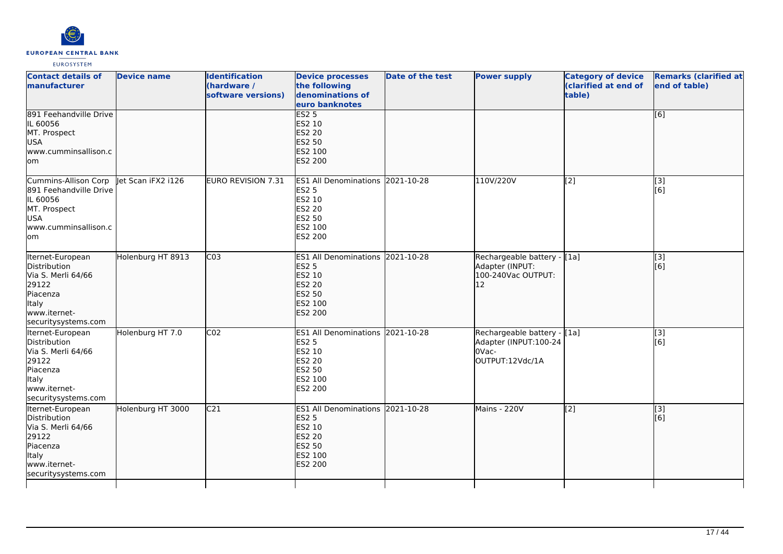

| <b>Contact details of</b><br><b>Imanufacturer</b>                                                                                           | <b>Device name</b> | <b>Identification</b><br>(hardware /<br>software versions) | <b>Device processes</b><br>the following<br>denominations of<br>euro banknotes                                 | Date of the test | <b>Power supply</b>                                                              | <b>Category of device</b><br>(clarified at end of<br>table) | <b>Remarks (clarified at</b><br>end of table) |
|---------------------------------------------------------------------------------------------------------------------------------------------|--------------------|------------------------------------------------------------|----------------------------------------------------------------------------------------------------------------|------------------|----------------------------------------------------------------------------------|-------------------------------------------------------------|-----------------------------------------------|
| 891 Feehandville Drive<br>IL 60056<br>MT. Prospect<br><b>USA</b><br>www.cumminsallison.c<br>lom                                             |                    |                                                            | ES2 <sub>5</sub><br>ES2 10<br><b>ES2 20</b><br>ES2 50<br>ES2 100<br>ES2 200                                    |                  |                                                                                  |                                                             | [6]                                           |
| Cummins-Allison Corp   et Scan iFX2 i126<br>891 Feehandville Drive<br>IL 60056<br>MT. Prospect<br><b>USA</b><br>www.cumminsallison.c<br>lom |                    | EURO REVISION 7.31                                         | ES1 All Denominations 2021-10-28<br><b>ES2 5</b><br>ES2 10<br>ES2 20<br>ES2 50<br>ES2 100<br>ES2 200           |                  | 110V/220V                                                                        | [2]                                                         | $[3]$<br>[6]                                  |
| Iternet-European<br>Distribution<br>Via S. Merli 64/66<br>29122<br>Piacenza<br>Italy<br>www.iternet-<br>securitysystems.com                 | Holenburg HT 8913  | CO <sub>3</sub>                                            | <b>ES1 All Denominations</b><br><b>ES2 5</b><br>ES2 10<br>ES2 20<br><b>ES2 50</b><br>ES2 100<br><b>ES2 200</b> | 2021-10-28       | Rechargeable battery - [1a]<br>Adapter (INPUT:<br>100-240Vac OUTPUT:<br>12       |                                                             | [3]<br>[6]                                    |
| Iternet-European<br>Distribution<br>Via S. Merli 64/66<br>29122<br>Piacenza<br>Italy<br>www.iternet-<br>securitysystems.com                 | Holenburg HT 7.0   | CO <sub>2</sub>                                            | ES1 All Denominations 2021-10-28<br>ES2 5<br>ES2 10<br>ES2 20<br>ES2 50<br>ES2 100<br>ES2 200                  |                  | Rechargeable battery - [1a]<br>Adapter (INPUT:100-24<br>OVac-<br>OUTPUT:12Vdc/1A |                                                             | $\overline{[3]}$<br>[6]                       |
| Iternet-European<br>Distribution<br>Via S. Merli 64/66<br>29122<br>Piacenza<br>Italy<br>www.iternet-<br>securitysystems.com                 | Holenburg HT 3000  | C <sub>21</sub>                                            | <b>ES1 All Denominations</b><br><b>ES2 5</b><br>ES2 10<br><b>ES2 20</b><br>ES2 50<br>ES2 100<br><b>ES2 200</b> | 2021-10-28       | Mains - 220V                                                                     | $\overline{[2]}$                                            | [3]<br>[6]                                    |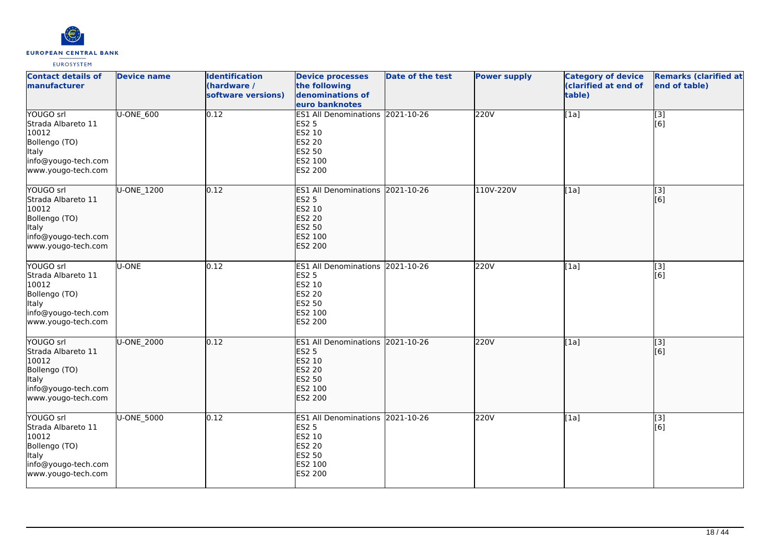

| <b>Contact details of</b><br>manufacturer                                                                              | <b>Device name</b> | <b>Identification</b><br>(hardware /<br>software versions) | <b>Device processes</b><br>the following<br>denominations of<br>euro banknotes                                     | <b>Date of the test</b> | <b>Power supply</b> | <b>Category of device</b><br>(clarified at end of<br>table) | <b>Remarks (clarified at</b><br>end of table) |
|------------------------------------------------------------------------------------------------------------------------|--------------------|------------------------------------------------------------|--------------------------------------------------------------------------------------------------------------------|-------------------------|---------------------|-------------------------------------------------------------|-----------------------------------------------|
| YOUGO srl<br>Strada Albareto 11<br>10012<br>Bollengo (TO)<br><b>Italy</b><br>info@yougo-tech.com<br>www.yougo-tech.com | U-ONE_600          | 0.12                                                       | ES1 All Denominations 2021-10-26<br><b>ES2 5</b><br>ES2 10<br>ES2 20<br>ES2 50<br>ES2 100<br>ES2 200               |                         | 220V                | [1a]                                                        | $\overline{[3]}$<br>[6]                       |
| YOUGO srl<br>Strada Albareto 11<br>10012<br>Bollengo (TO)<br>Italy<br>info@yougo-tech.com<br>www.yougo-tech.com        | U-ONE 1200         | 0.12                                                       | ES1 All Denominations 2021-10-26<br><b>ES2 5</b><br>ES2 10<br>ES2 20<br>ES2 50<br>ES2 100<br><b>ES2 200</b>        |                         | 110V-220V           | [1a]                                                        | [3]<br>[6]                                    |
| YOUGO srl<br>Strada Albareto 11<br>10012<br>Bollengo (TO)<br>Italy<br>info@yougo-tech.com<br>www.yougo-tech.com        | U-ONE              | 0.12                                                       | ES1 All Denominations 2021-10-26<br>ES2 5<br>ES2 10<br>ES2 20<br>ES2 50<br>ES2 100<br>ES2 200                      |                         | 220V                | [1a]                                                        | $\overline{[3]}$<br>[6]                       |
| YOUGO srl<br>Strada Albareto 11<br>10012<br>Bollengo (TO)<br><b>Italy</b><br>info@yougo-tech.com<br>www.yougo-tech.com | U-ONE_2000         | 0.12                                                       | ES1 All Denominations 2021-10-26<br><b>ES2 5</b><br>ES2 10<br><b>ES2 20</b><br>ES2 50<br>ES2 100<br><b>ES2 200</b> |                         | 220V                | [1a]                                                        | $\overline{[3]}$<br>[6]                       |
| YOUGO srl<br>Strada Albareto 11<br>10012<br>Bollengo (TO)<br>Italy<br>info@yougo-tech.com<br>www.yougo-tech.com        | U-ONE_5000         | 0.12                                                       | <b>ES1 All Denominations</b><br><b>ES2 5</b><br>ES2 10<br>ES2 20<br>ES2 50<br>ES2 100<br>ES2 200                   | 2021-10-26              | 220V                | [1a]                                                        | [3]<br>lī 61                                  |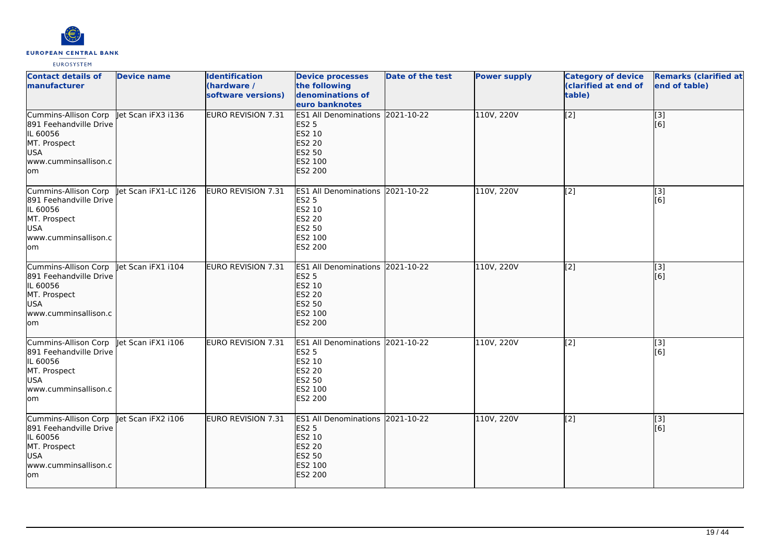

| <b>Contact details of</b><br>manufacturer                                                                                            | <b>Device name</b>    | <b>Identification</b><br>(hardware /<br>software versions) | <b>Device processes</b><br>the following<br>denominations of<br>euro banknotes                                        | Date of the test | <b>Power supply</b> | <b>Category of device</b><br>(clarified at end of<br>table) | <b>Remarks (clarified at</b><br>end of table) |
|--------------------------------------------------------------------------------------------------------------------------------------|-----------------------|------------------------------------------------------------|-----------------------------------------------------------------------------------------------------------------------|------------------|---------------------|-------------------------------------------------------------|-----------------------------------------------|
| Cummins-Allison Corp   et Scan iFX3 i136<br>891 Feehandville Drive<br>IL 60056<br>MT. Prospect<br>USA<br>www.cumminsallison.c<br>lom |                       | <b>EURO REVISION 7.31</b>                                  | ES1 All Denominations 2021-10-22<br><b>ES2 5</b><br>ES2 10<br><b>ES2 20</b><br><b>ES2 50</b><br>ES2 100<br>ES2 200    |                  | 110V, 220V          | $\overline{[2]}$                                            | [3]<br>[6]                                    |
| Cummins-Allison Corp<br>891 Feehandville Drive<br>IL 60056<br>MT. Prospect<br><b>USA</b><br>www.cumminsallison.c<br>lom              | let Scan iFX1-LC i126 | EURO REVISION 7.31                                         | ES1 All Denominations 2021-10-22<br><b>ES2 5</b><br>ES2 10<br>ES2 20<br>ES2 50<br>ES2 100<br>ES2 200                  |                  | 110V, 220V          | [2]                                                         | [3]<br>[6]                                    |
| Cummins-Allison Corp Jet Scan iFX1 i104<br>891 Feehandville Drive<br>IL 60056<br>MT. Prospect<br>USA<br>www.cumminsallison.c<br>lom  |                       | <b>EURO REVISION 7.31</b>                                  | <b>ES1 All Denominations</b><br><b>ES2 5</b><br>ES2 10<br><b>ES2 20</b><br><b>ES2 50</b><br>ES2 100<br><b>ES2 200</b> | 2021-10-22       | 110V, 220V          | $\overline{[2]}$                                            | $\overline{[3]}$<br>[6]                       |
| Cummins-Allison Corp<br>891 Feehandville Drive<br>IL 60056<br>MT. Prospect<br><b>USA</b><br>www.cumminsallison.c<br>lom              | let Scan iFX1 i106    | <b>EURO REVISION 7.31</b>                                  | ES1 All Denominations 2021-10-22<br><b>ES2 5</b><br>ES2 10<br>ES2 20<br>ES2 50<br>ES2 100<br>ES2 200                  |                  | 110V, 220V          | [2]                                                         | $\overline{[3]}$<br>[6]                       |
| Cummins-Allison Corp<br>891 Feehandville Drive<br>IL 60056<br>MT. Prospect<br>USA<br>www.cumminsallison.c<br>lom                     | Jet Scan iFX2 i106    | <b>EURO REVISION 7.31</b>                                  | <b>ES1 All Denominations</b><br><b>ES2 5</b><br>ES2 10<br><b>ES2 20</b><br>ES2 50<br>ES2 100<br>ES2 200               | 2021-10-22       | 110V, 220V          | $\overline{[2]}$                                            | [3]<br>[6]                                    |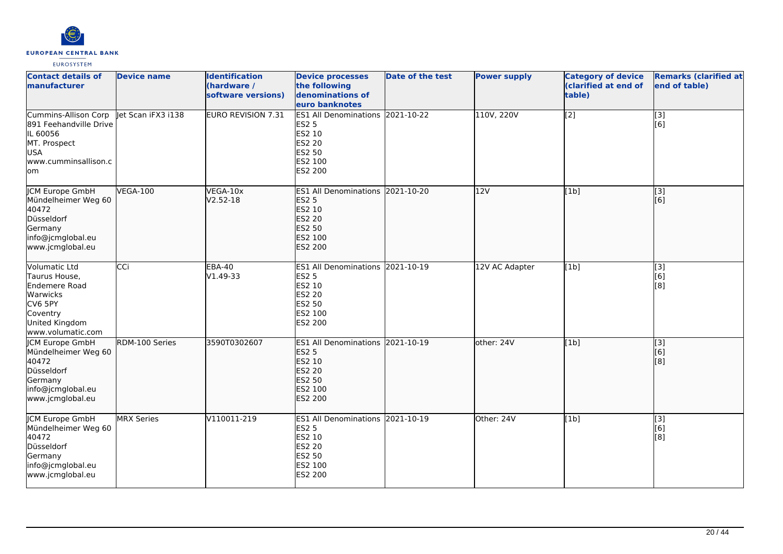

| <b>Contact details of</b><br>manufacturer                                                                                        | <b>Device name</b> | <b>Identification</b><br>(hardware /<br>software versions) | <b>Device processes</b><br>the following<br>denominations of<br>euro banknotes                                     | Date of the test | <b>Power supply</b> | <b>Category of device</b><br>(clarified at end of<br>table) | <b>Remarks (clarified at</b><br>end of table) |
|----------------------------------------------------------------------------------------------------------------------------------|--------------------|------------------------------------------------------------|--------------------------------------------------------------------------------------------------------------------|------------------|---------------------|-------------------------------------------------------------|-----------------------------------------------|
| Cummins-Allison Corp<br>891 Feehandville Drive<br>IL 60056<br>MT. Prospect<br><b>USA</b><br>lwww.cumminsallison.c<br>lom         | let Scan iFX3 i138 | EURO REVISION 7.31                                         | ES1 All Denominations 2021-10-22<br><b>ES2 5</b><br>ES2 10<br><b>ES2 20</b><br>ES2 50<br>ES2 100<br>ES2 200        |                  | 110V, 220V          | $\sqrt{2}$                                                  | [3]<br>[6]                                    |
| <b>ICM Europe GmbH</b><br>Mündelheimer Weg 60<br>40472<br>Düsseldorf<br>Germany<br>info@jcmglobal.eu<br>www.jcmglobal.eu         | <b>VEGA-100</b>    | VEGA-10x<br>$V2.52-18$                                     | <b>ES1 All Denominations 2021-10-20</b><br><b>ES2 5</b><br>ES2 10<br>ES2 20<br>ES2 50<br>ES2 100<br><b>ES2 200</b> |                  | 12V                 | [1b]                                                        | [[3]<br>[[6]                                  |
| <b>Volumatic Ltd</b><br>Taurus House,<br>Endemere Road<br>Warwicks<br>CV6 5PY<br>Coventry<br>United Kingdom<br>www.volumatic.com | CCi                | <b>EBA-40</b><br>V1.49-33                                  | <b>ES1 All Denominations</b><br><b>ES2 5</b><br>ES2 10<br>ES2 20<br>ES2 50<br>ES2 100<br>ES2 200                   | 2021-10-19       | 12V AC Adapter      | [1b]                                                        | $\overline{[3]}$<br>[6]<br>[8]                |
| JCM Europe GmbH<br>Mündelheimer Weg 60<br>40472<br>Düsseldorf<br>Germany<br>info@jcmglobal.eu<br>www.jcmglobal.eu                | RDM-100 Series     | 3590T0302607                                               | ES1 All Denominations 2021-10-19<br><b>ES2 5</b><br>ES2 10<br><b>ES2 20</b><br>ES2 50<br>ES2 100<br><b>ES2 200</b> |                  | other: 24V          | [1b]                                                        | $\overline{[}$ [3]<br>[6]<br>[8]              |
| JCM Europe GmbH<br>Mündelheimer Weg 60<br>40472<br>Düsseldorf<br>Germany<br>info@jcmglobal.eu<br>www.jcmglobal.eu                | <b>MRX</b> Series  | V110011-219                                                | <b>ES1 All Denominations</b><br><b>ES2 5</b><br>ES2 10<br><b>ES2 20</b><br>ES2 50<br>ES2 100<br>ES2 200            | 2021-10-19       | Other: 24V          | [1b]                                                        | [3]<br>[6]<br>[8]                             |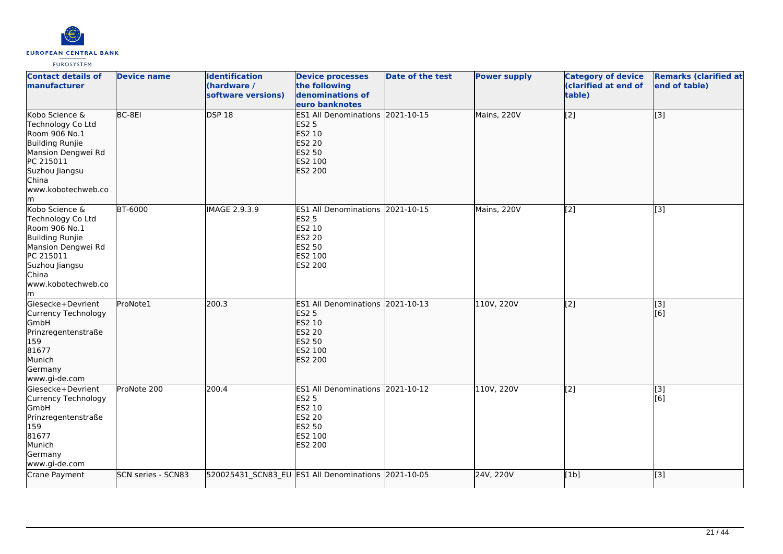

| <b>Contact details of</b><br>manufacturer                                                                                                                                 | <b>Device name</b> | <b>Identification</b><br>(hardware /<br>software versions) | <b>Device processes</b><br>the following<br>denominations of<br>euro banknotes                                     | Date of the test | <b>Power supply</b> | <b>Category of device</b><br>(clarified at end of<br>table) | <b>Remarks (clarified at</b><br>end of table) |
|---------------------------------------------------------------------------------------------------------------------------------------------------------------------------|--------------------|------------------------------------------------------------|--------------------------------------------------------------------------------------------------------------------|------------------|---------------------|-------------------------------------------------------------|-----------------------------------------------|
| Kobo Science &<br>Technology Co Ltd<br>Room 906 No.1<br><b>Building Runjie</b><br>Mansion Dengwei Rd<br>PC 215011<br>Suzhou Jiangsu<br>China<br>www.kobotechweb.co<br>lm. | BC-8EI             | <b>DSP 18</b>                                              | ES1 All Denominations 2021-10-15<br><b>ES2 5</b><br>ES2 10<br><b>ES2 20</b><br>ES2 50<br>ES2 100<br><b>ES2 200</b> |                  | Mains, 220V         | $\sqrt{2}$                                                  | $\overline{[}3]$                              |
| Kobo Science &<br>Technology Co Ltd<br>Room 906 No.1<br><b>Building Runjie</b><br>Mansion Dengwei Rd<br>PC 215011<br>Suzhou Jiangsu<br>China<br>www.kobotechweb.co<br>lm. | <b>BT-6000</b>     | IMAGE 2.9.3.9                                              | ES1 All Denominations 2021-10-15<br><b>ES2 5</b><br>ES2 10<br><b>ES2 20</b><br>ES2 50<br>ES2 100<br>ES2 200        |                  | Mains, 220V         | $\sqrt{2}$                                                  | $\overline{[3]}$                              |
| Giesecke+Devrient<br>Currency Technology<br>GmbH<br>Prinzregentenstraße<br>159<br>81677<br>Munich<br>Germany<br>www.gi-de.com                                             | ProNote1           | 200.3                                                      | ES1 All Denominations 2021-10-13<br><b>ES2 5</b><br>ES2 10<br>ES2 20<br>ES2 50<br>ES2 100<br><b>ES2 200</b>        |                  | 110V, 220V          | $\overline{[2]}$                                            | $\overline{[}3]$<br>[6]                       |
| Giesecke+Devrient<br>Currency Technology<br>GmbH<br>Prinzregentenstraße<br>159<br>81677<br>Munich<br>Germany<br>www.gi-de.com                                             | ProNote 200        | 200.4                                                      | ES1 All Denominations 2021-10-12<br><b>ES2 5</b><br>ES2 10<br><b>ES2 20</b><br>ES2 50<br>ES2 100<br>ES2 200        |                  | 110V, 220V          | $\overline{[2]}$                                            | $\overline{[3]}$<br>[6]                       |
| Crane Payment                                                                                                                                                             | SCN series - SCN83 |                                                            | 520025431_SCN83_EU ES1 All Denominations 2021-10-05                                                                |                  | 24V, 220V           | [1b]                                                        | $\overline{[}3]$                              |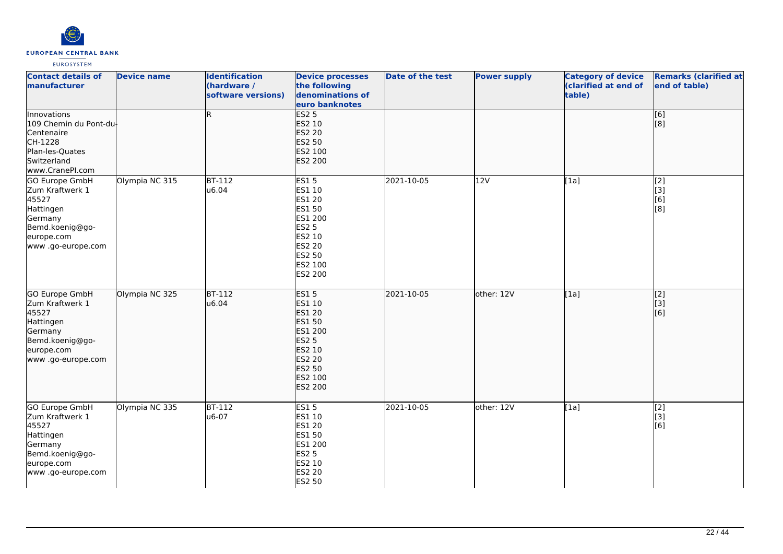

| <b>Contact details of</b><br>manufacturer                                                                                        | <b>Device name</b> | <b>Identification</b><br>(hardware /<br>software versions) | <b>Device processes</b><br>the following<br>denominations of<br>euro banknotes                                                  | <b>Date of the test</b> | <b>Power supply</b> | <b>Category of device</b><br>(clarified at end of<br>table) | <b>Remarks (clarified at</b><br>end of table) |
|----------------------------------------------------------------------------------------------------------------------------------|--------------------|------------------------------------------------------------|---------------------------------------------------------------------------------------------------------------------------------|-------------------------|---------------------|-------------------------------------------------------------|-----------------------------------------------|
| Innovations<br>109 Chemin du Pont-du<br>Centenaire<br>CH-1228<br>Plan-les-Quates<br>Switzerland<br>www.CranePI.com               |                    | R.                                                         | <b>ES2 5</b><br>ES2 10<br><b>ES2 20</b><br>ES2 50<br>ES2 100<br>ES2 200                                                         |                         |                     |                                                             | [6]<br>[8]                                    |
| GO Europe GmbH<br>Zum Kraftwerk 1<br>45527<br>Hattingen<br>Germany<br>Bemd.koenig@go-<br>europe.com<br>www.go-europe.com         | Olympia NC 315     | <b>BT-112</b><br>u6.04                                     | <b>ES15</b><br>ES1 10<br>ES1 20<br>ES1 50<br>ES1 200<br><b>ES2 5</b><br>ES2 10<br>ES2 20<br>ES2 50<br>ES2 100<br>ES2 200        | 2021-10-05              | 12V                 | [1a]                                                        | [2]<br>[3]<br>[6]<br>[8]                      |
| <b>GO Europe GmbH</b><br>Zum Kraftwerk 1<br>45527<br>Hattingen<br>Germany<br>Bemd.koenig@go-<br>europe.com<br>www .go-europe.com | Olympia NC 325     | $BT-112$<br>u6.04                                          | <b>ES15</b><br>ES1 10<br>ES1 20<br>ES1 50<br>ES1 200<br><b>ES2 5</b><br>ES2 10<br><b>ES2 20</b><br>ES2 50<br>ES2 100<br>ES2 200 | 2021-10-05              | other: 12V          | [1a]                                                        | $\overline{[2]}$<br>[3]<br>[6]                |
| GO Europe GmbH<br>Zum Kraftwerk 1<br>45527<br>Hattingen<br>Germany<br>Bemd.koenig@go-<br>europe.com<br>www.go-europe.com         | Olympia NC 335     | <b>BT-112</b><br>u6-07                                     | <b>ES15</b><br>ES1 10<br>ES1 20<br>ES1 50<br>ES1 200<br>ES2 5<br>ES2 10<br>ES2 20<br>ES2 50                                     | 2021-10-05              | other: 12V          | [1a]                                                        | [2]<br>[3]<br>[6]                             |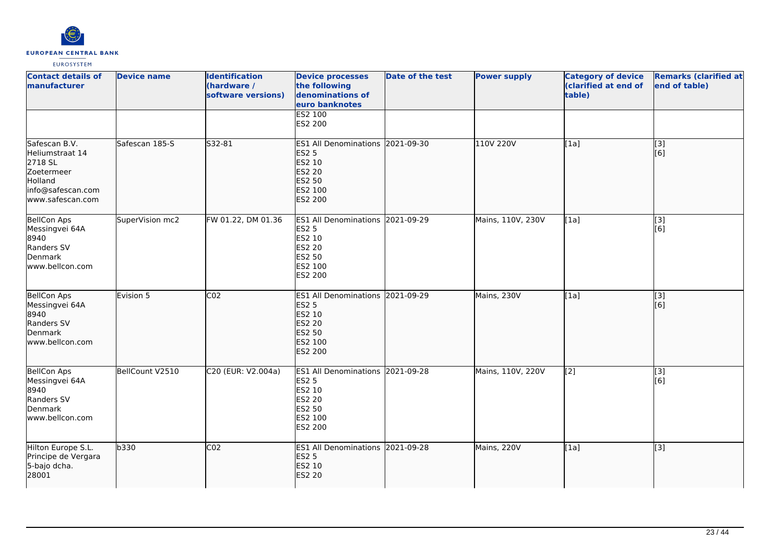

| <b>Contact details of</b><br>manufacturer                                                                     | <b>Device name</b> | <b>Identification</b><br>(hardware /<br>software versions) | <b>Device processes</b><br>the following<br>denominations of<br>euro banknotes                                            | <b>Date of the test</b> | <b>Power supply</b> | <b>Category of device</b><br>(clarified at end of<br>table) | <b>Remarks (clarified at</b><br>end of table) |
|---------------------------------------------------------------------------------------------------------------|--------------------|------------------------------------------------------------|---------------------------------------------------------------------------------------------------------------------------|-------------------------|---------------------|-------------------------------------------------------------|-----------------------------------------------|
|                                                                                                               |                    |                                                            | <b>ES2 100</b><br>ES2 200                                                                                                 |                         |                     |                                                             |                                               |
| Safescan B.V.<br>Heliumstraat 14<br>2718 SL<br>Zoetermeer<br>Holland<br>info@safescan.com<br>www.safescan.com | Safescan 185-S     | S32-81                                                     | ES1 All Denominations 2021-09-30<br><b>ES2 5</b><br>ES2 10<br><b>ES2 20</b><br><b>ES2 50</b><br>ES2 100<br><b>ES2 200</b> |                         | 110V 220V           | [1a]                                                        | [3]<br>[6]                                    |
| <b>BellCon Aps</b><br>Messingvei 64A<br>8940<br>Randers SV<br>Denmark<br>www.bellcon.com                      | SuperVision mc2    | FW 01.22, DM 01.36                                         | ES1 All Denominations 2021-09-29<br><b>ES2 5</b><br>ES2 10<br><b>ES2 20</b><br>ES2 50<br>ES2 100<br>ES2 200               |                         | Mains, 110V, 230V   | [1a]                                                        | $\overline{[3]}$<br>[6]                       |
| BellCon Aps<br>Messingvei 64A<br>8940<br>Randers SV<br>Denmark<br>www.bellcon.com                             | Evision 5          | CO <sub>2</sub>                                            | <b>ES1 All Denominations</b><br><b>ES2 5</b><br><b>ES2 10</b><br>ES2 20<br><b>ES2 50</b><br>ES2 100<br><b>ES2 200</b>     | 2021-09-29              | Mains, 230V         | [1a]                                                        | [3]<br>[6]                                    |
| <b>BellCon Aps</b><br>Messingvei 64A<br>8940<br>Randers SV<br>Denmark<br>www.bellcon.com                      | BellCount V2510    | C20 (EUR: V2.004a)                                         | ES1 All Denominations 2021-09-28<br><b>ES2 5</b><br>ES2 10<br><b>ES2 20</b><br><b>ES2 50</b><br>ES2 100<br>ES2 200        |                         | Mains, 110V, 220V   | [2]                                                         | $\overline{[3]}$<br>[6]                       |
| Hilton Europe S.L.<br>Principe de Vergara<br>5-bajo dcha.<br>28001                                            | b330               | CO <sub>2</sub>                                            | ES1 All Denominations 2021-09-28<br><b>ES2 5</b><br>ES2 10<br><b>ES2 20</b>                                               |                         | Mains, 220V         | [1a]                                                        | $\overline{[}3]$                              |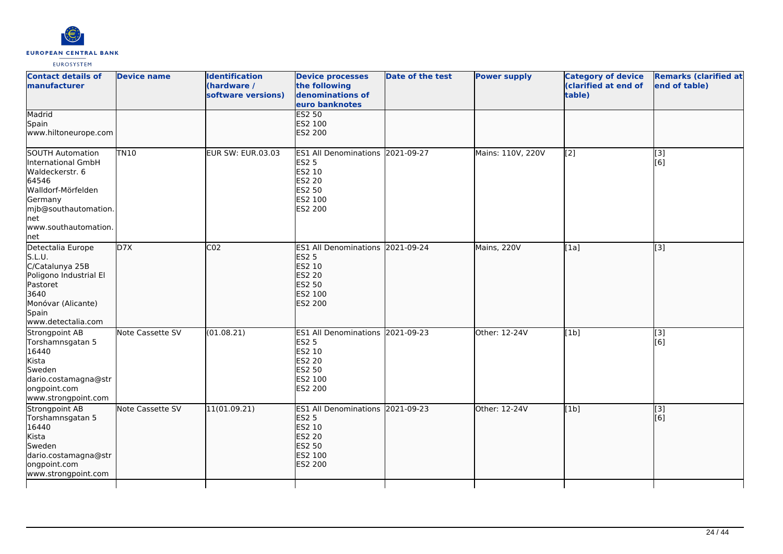

| <b>Contact details of</b><br>manufacturer                                                                                                                                | <b>Device name</b> | <b>Identification</b><br>(hardware /<br>software versions) | <b>Device processes</b><br>the following<br>denominations of<br>euro banknotes                              | <b>Date of the test</b> | <b>Power supply</b> | <b>Category of device</b><br>(clarified at end of<br>table) | <b>Remarks (clarified at</b><br>end of table) |
|--------------------------------------------------------------------------------------------------------------------------------------------------------------------------|--------------------|------------------------------------------------------------|-------------------------------------------------------------------------------------------------------------|-------------------------|---------------------|-------------------------------------------------------------|-----------------------------------------------|
| Madrid<br>Spain<br>www.hiltoneurope.com                                                                                                                                  |                    |                                                            | <b>ES2 50</b><br>ES2 100<br>ES2 200                                                                         |                         |                     |                                                             |                                               |
| <b>SOUTH Automation</b><br>International GmbH<br>Waldeckerstr. 6<br>64546<br>Walldorf-Mörfelden<br>Germany<br>mjb@southautomation.<br>net<br>www.southautomation.<br>net | <b>TN10</b>        | <b>EUR SW: EUR.03.03</b>                                   | ES1 All Denominations 2021-09-27<br><b>ES2 5</b><br>ES2 10<br>ES2 20<br>ES2 50<br>ES2 100<br>ES2 200        |                         | Mains: 110V, 220V   | [2]                                                         | [3]<br>[6]                                    |
| Detectalia Europe<br>S.L.U.<br>C/Catalunya 25B<br>Poligono Industrial El<br>Pastoret<br>3640<br>Monóvar (Alicante)<br>Spain<br>www.detectalia.com                        | D7X                | CO <sub>2</sub>                                            | ES1 All Denominations 2021-09-24<br><b>ES2 5</b><br>ES2 10<br><b>ES2 20</b><br>ES2 50<br>ES2 100<br>ES2 200 |                         | Mains, 220V         | [1a]                                                        | [3]                                           |
| Strongpoint AB<br>Torshamnsgatan 5<br>16440<br>Kista<br>Sweden<br>dario.costamagna@str<br>ongpoint.com<br>www.strongpoint.com                                            | Note Cassette SV   | (01.08.21)                                                 | ES1 All Denominations 2021-09-23<br><b>ES2 5</b><br>ES2 10<br>ES2 20<br>ES2 50<br>ES2 100<br>ES2 200        |                         | Other: 12-24V       | [1b]                                                        | $\overline{[3]}$<br>[6]                       |
| Strongpoint AB<br>Torshamnsgatan 5<br>16440<br>Kista<br>Sweden<br>dario.costamagna@str<br>ongpoint.com<br>www.strongpoint.com                                            | Note Cassette SV   | 11(01.09.21)                                               | ES1 All Denominations 2021-09-23<br><b>ES2 5</b><br>ES2 10<br>ES2 20<br>ES2 50<br>ES2 100<br>ES2 200        |                         | Other: 12-24V       | [1b]                                                        | [3]<br>[6]                                    |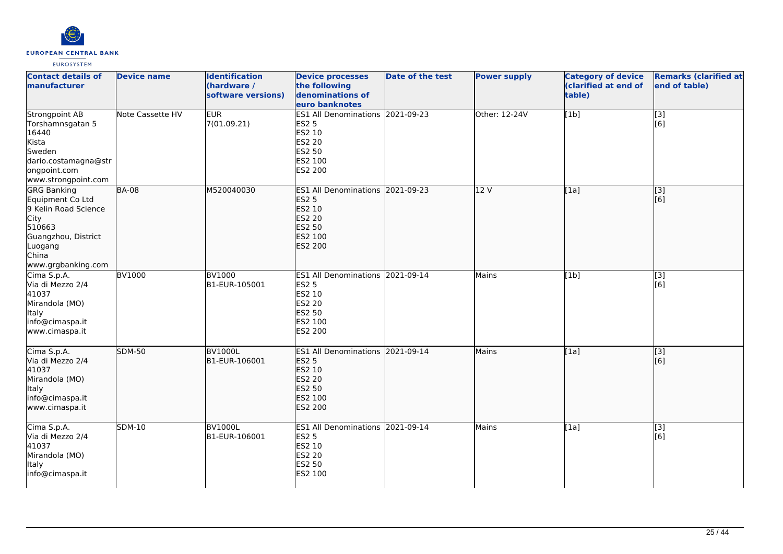

| <b>Contact details of</b><br>manufacturer                                                                                                         | <b>Device name</b>      | <b>Identification</b><br>(hardware /<br>software versions) | <b>Device processes</b><br>the following<br>denominations of<br>euro banknotes                                 | <b>Date of the test</b> | <b>Power supply</b> | <b>Category of device</b><br>(clarified at end of<br>table) | <b>Remarks (clarified at</b><br>end of table) |
|---------------------------------------------------------------------------------------------------------------------------------------------------|-------------------------|------------------------------------------------------------|----------------------------------------------------------------------------------------------------------------|-------------------------|---------------------|-------------------------------------------------------------|-----------------------------------------------|
| <b>Strongpoint AB</b><br>Torshamnsgatan 5<br>16440<br>Kista<br>Sweden<br>dario.costamagna@str<br>ongpoint.com<br>www.strongpoint.com              | <b>Note Cassette HV</b> | EUR <sup>1</sup><br>7(01.09.21)                            | ES1 All Denominations 2021-09-23<br><b>ES2 5</b><br>ES2 10<br>ES2 20<br>ES2 50<br>ES2 100<br>ES2 200           |                         | Other: 12-24V       | [1b]                                                        | $\overline{[}3]$<br>[6]                       |
| <b>GRG Banking</b><br>Equipment Co Ltd<br>9 Kelin Road Science<br>City<br>510663<br>Guangzhou, District<br>Luogang<br>China<br>www.grgbanking.com | <b>BA-08</b>            | M520040030                                                 | <b>ES1 All Denominations</b><br><b>ES2 5</b><br>ES2 10<br><b>ES2 20</b><br><b>ES2 50</b><br>ES2 100<br>ES2 200 | 2021-09-23              | 12V                 | [1a]                                                        | $\overline{[3]}$<br>[6]                       |
| Cima S.p.A.<br>Via di Mezzo 2/4<br>41037<br>Mirandola (MO)<br><b>Italy</b><br>info@cimaspa.it<br>www.cimaspa.it                                   | <b>BV1000</b>           | <b>BV1000</b><br>B1-EUR-105001                             | ES1 All Denominations 2021-09-14<br><b>ES2 5</b><br>ES2 10<br><b>ES2 20</b><br>ES2 50<br>ES2 100<br>ES2 200    |                         | Mains               | [1b]                                                        | $[3]$<br>[6]                                  |
| Cima S.p.A.<br>Via di Mezzo 2/4<br>41037<br>Mirandola (MO)<br>Italy<br>info@cimaspa.it<br>www.cimaspa.it                                          | <b>SDM-50</b>           | <b>BV1000L</b><br>B1-EUR-106001                            | <b>ES1 All Denominations</b><br><b>ES2 5</b><br>ES2 10<br><b>ES2 20</b><br>ES2 50<br>ES2 100<br>ES2 200        | 2021-09-14              | Mains               | [1a]                                                        | [3]<br>[6]                                    |
| Cima S.p.A.<br>Via di Mezzo 2/4<br>41037<br>Mirandola (MO)<br><b>Italy</b><br>info@cimaspa.it                                                     | <b>SDM-10</b>           | <b>BV1000L</b><br>B1-EUR-106001                            | ES1 All Denominations 2021-09-14<br><b>ES2 5</b><br>ES2 10<br><b>ES2 20</b><br>ES2 50<br>ES2 100               |                         | Mains               | [1a]                                                        | $\overline{[3]}$<br>[6]                       |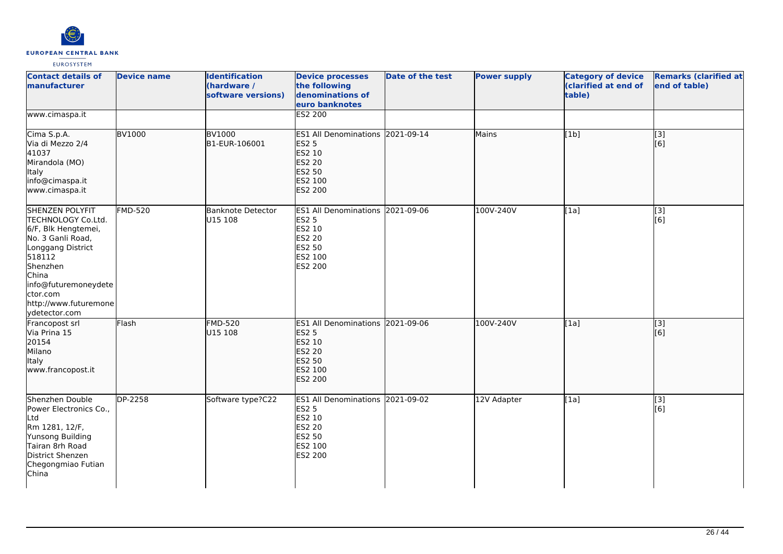

| <b>Contact details of</b><br><b>Imanufacturer</b>                                                                                                                                                                          | <b>Device name</b> | <b>Identification</b><br>(hardware /<br>software versions) | <b>Device processes</b><br>the following<br>denominations of<br>euro banknotes                                     | <b>Date of the test</b> | <b>Power supply</b> | <b>Category of device</b><br>(clarified at end of<br>table) | <b>Remarks (clarified at</b><br>end of table) |
|----------------------------------------------------------------------------------------------------------------------------------------------------------------------------------------------------------------------------|--------------------|------------------------------------------------------------|--------------------------------------------------------------------------------------------------------------------|-------------------------|---------------------|-------------------------------------------------------------|-----------------------------------------------|
| www.cimaspa.it                                                                                                                                                                                                             |                    |                                                            | <b>ES2 200</b>                                                                                                     |                         |                     |                                                             |                                               |
| Cima S.p.A.<br>Via di Mezzo 2/4<br>41037<br>Mirandola (MO)<br>Italy<br>info@cimaspa.it<br>www.cimaspa.it                                                                                                                   | <b>BV1000</b>      | <b>BV1000</b><br>B1-EUR-106001                             | ES1 All Denominations 2021-09-14<br><b>ES2 5</b><br>ES2 10<br><b>ES2 20</b><br>ES2 50<br>ES2 100<br>ES2 200        |                         | Mains               | [1b]                                                        | $\overline{[}3]$<br>[6]                       |
| <b>SHENZEN POLYFIT</b><br>TECHNOLOGY Co.Ltd.<br>6/F, Blk Hengtemei,<br>No. 3 Ganli Road,<br>Longgang District<br>518112<br>Shenzhen<br>China<br>info@futuremoneydete<br>ctor.com<br>http://www.futuremone<br>ydetector.com | <b>FMD-520</b>     | <b>Banknote Detector</b><br>U15 108                        | ES1 All Denominations 2021-09-06<br><b>ES2 5</b><br>ES2 10<br><b>ES2 20</b><br>ES2 50<br>ES2 100<br>ES2 200        |                         | 100V-240V           | [1a]                                                        | $[3]$<br>[6]                                  |
| Francopost srl<br>Via Prina 15<br>20154<br>Milano<br>Italy<br>www.francopost.it                                                                                                                                            | Flash              | <b>FMD-520</b><br>U15 108                                  | ES1 All Denominations 2021-09-06<br><b>ES2 5</b><br>ES2 10<br><b>ES2 20</b><br><b>ES2 50</b><br>ES2 100<br>ES2 200 |                         | 100V-240V           | [1a]                                                        | [3]<br>[6]                                    |
| Shenzhen Double<br>Power Electronics Co.,<br>Ltd<br>Rm 1281, 12/F,<br>Yunsong Building<br>Tairan 8rh Road<br>District Shenzen<br>Chegongmiao Futian<br>China                                                               | DP-2258            | Software type?C22                                          | ES1 All Denominations 2021-09-02<br><b>ES2 5</b><br>ES2 10<br><b>ES2 20</b><br>ES2 50<br>ES2 100<br>ES2 200        |                         | 12V Adapter         | [1a]                                                        | $[3]$<br>[6]                                  |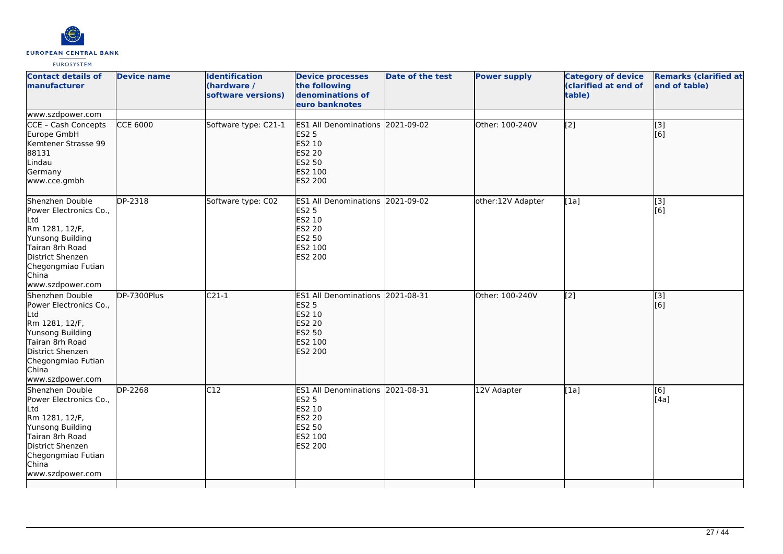

| <b>Contact details of</b><br>manufacturer                                                                                                                                        | <b>Device name</b> | <b>Identification</b><br>(hardware /<br>software versions) | <b>Device processes</b><br>the following<br>denominations of<br>euro banknotes                                               | Date of the test | <b>Power supply</b> | <b>Category of device</b><br>(clarified at end of<br>table) | <b>Remarks (clarified at</b><br>end of table) |
|----------------------------------------------------------------------------------------------------------------------------------------------------------------------------------|--------------------|------------------------------------------------------------|------------------------------------------------------------------------------------------------------------------------------|------------------|---------------------|-------------------------------------------------------------|-----------------------------------------------|
| www.szdpower.com                                                                                                                                                                 |                    |                                                            |                                                                                                                              |                  |                     |                                                             |                                               |
| CCE - Cash Concepts<br>Europe GmbH<br>Kemtener Strasse 99<br>88131<br>Lindau<br>Germany<br>www.cce.gmbh                                                                          | <b>CCE 6000</b>    | Software type: C21-1                                       | ES1 All Denominations 2021-09-02<br><b>ES2 5</b><br>ES2 10<br><b>ES2 20</b><br>ES2 50<br>ES2 100<br><b>ES2 200</b>           |                  | Other: 100-240V     | [2]                                                         | $[3]$<br>[6]                                  |
| Shenzhen Double<br>Power Electronics Co.,<br>Ltd<br>Rm 1281, 12/F,<br>Yunsong Building<br>Tairan 8rh Road<br>District Shenzen<br>Chegongmiao Futian<br>China<br>www.szdpower.com | DP-2318            | Software type: C02                                         | ES1 All Denominations 2021-09-02<br><b>ES2 5</b><br>ES2 10<br><b>ES2 20</b><br><b>ES2 50</b><br><b>ES2 100</b><br>ES2 200    |                  | other:12V Adapter   | [1a]                                                        | $\overline{[3]}$<br>[6]                       |
| Shenzhen Double<br>Power Electronics Co.,<br>Ltd<br>Rm 1281, 12/F,<br>Yunsong Building<br>Tairan 8rh Road<br>District Shenzen<br>Chegongmiao Futian<br>China<br>www.szdpower.com | DP-7300Plus        | $C21-1$                                                    | <b>ES1 All Denominations</b><br><b>ES2 5</b><br><b>ES2 10</b><br><b>ES2 20</b><br><b>ES2 50</b><br>ES2 100<br><b>ES2 200</b> | 2021-08-31       | Other: 100-240V     | $\overline{[2]}$                                            | [3]<br>lī 61                                  |
| Shenzhen Double<br>Power Electronics Co.,<br>Ltd<br>Rm 1281, 12/F,<br>Yunsong Building<br>Tairan 8rh Road<br>District Shenzen<br>Chegongmiao Futian<br>China<br>www.szdpower.com | <b>DP-2268</b>     | $\overline{C12}$                                           | ES1 All Denominations 2021-08-31<br><b>ES2 5</b><br>ES2 10<br><b>ES2 20</b><br>ES2 50<br>ES2 100<br>ES2 200                  |                  | 12V Adapter         | $\overline{[1a]}$                                           | [6]<br>[4a]                                   |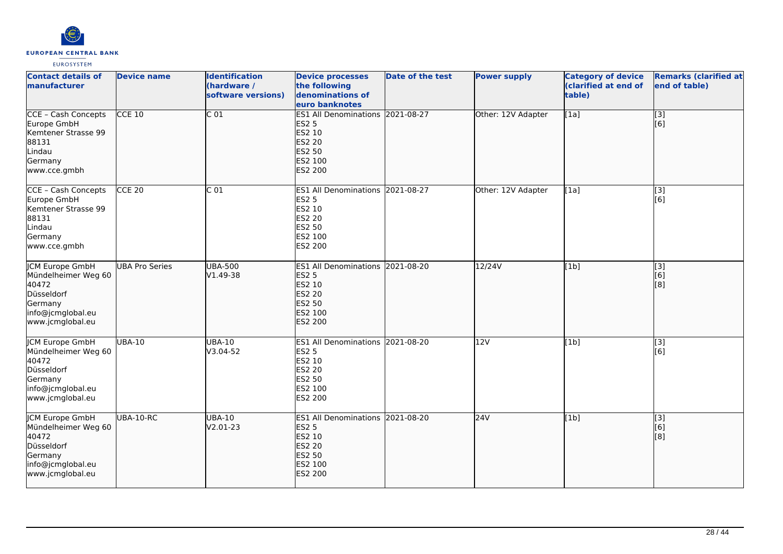

| <b>Contact details of</b><br><b>Imanufacturer</b>                                                                        | <b>Device name</b>    | <b>Identification</b><br>(hardware /<br>software versions) | <b>Device processes</b><br>the following<br>denominations of<br>euro banknotes                                 | <b>Date of the test</b> | <b>Power supply</b> | <b>Category of device</b><br>(clarified at end of<br>table) | <b>Remarks (clarified at</b><br>end of table) |
|--------------------------------------------------------------------------------------------------------------------------|-----------------------|------------------------------------------------------------|----------------------------------------------------------------------------------------------------------------|-------------------------|---------------------|-------------------------------------------------------------|-----------------------------------------------|
| CCE - Cash Concepts<br>Europe GmbH<br>Kemtener Strasse 99<br>88131<br>Lindau<br>Germany<br>www.cce.gmbh                  | $CCE$ 10              | C <sub>01</sub>                                            | ES1 All Denominations 2021-08-27<br><b>ES2 5</b><br>ES2 10<br><b>ES2 20</b><br>ES2 50<br>ES2 100<br>ES2 200    |                         | Other: 12V Adapter  | [1a]                                                        | $\sqrt{3}$<br>[6]                             |
| CCE - Cash Concepts<br>Europe GmbH<br>Kemtener Strasse 99<br>88131<br>Lindau<br>Germany<br>www.cce.gmbh                  | $CCE$ 20              | $\overline{C}$ 01                                          | ES1 All Denominations 2021-08-27<br>ES2 5<br>ES2 10<br>ES2 20<br>ES2 50<br>ES2 100<br>ES2 200                  |                         | Other: 12V Adapter  | [1a]                                                        | [3]<br>[6]                                    |
| <b>JCM Europe GmbH</b><br>Mündelheimer Weg 60<br>40472<br>Düsseldorf<br>Germany<br>info@jcmglobal.eu<br>www.jcmglobal.eu | <b>UBA Pro Series</b> | <b>UBA-500</b><br>V1.49-38                                 | <b>ES1 All Denominations</b><br><b>ES2 5</b><br>ES2 10<br>ES2 20<br><b>ES2 50</b><br>ES2 100<br><b>ES2 200</b> | 2021-08-20              | 12/24V              | [1b]                                                        | $\overline{[}3]$<br>[6]<br>[8]                |
| <b>CM Europe GmbH</b><br>Mündelheimer Weg 60<br>40472<br>Düsseldorf<br>Germany<br>info@jcmglobal.eu<br>www.jcmglobal.eu  | <b>UBA-10</b>         | <b>UBA-10</b><br>V3.04-52                                  | ES1 All Denominations 2021-08-20<br><b>ES2 5</b><br>ES2 10<br>ES2 20<br>ES2 50<br>ES2 100<br>ES2 200           |                         | 12V                 | [1b]                                                        | $\overline{[3]}$<br>[6]                       |
| <b>JCM Europe GmbH</b><br>Mündelheimer Weg 60<br>40472<br>Düsseldorf<br>Germany<br>info@jcmglobal.eu<br>www.jcmglobal.eu | UBA-10-RC             | <b>UBA-10</b><br>V2.01-23                                  | ES1 All Denominations 2021-08-20<br><b>ES2 5</b><br>ES2 10<br>ES2 20<br>ES2 50<br>ES2 100<br><b>ES2 200</b>    |                         | 24V                 | [1b]                                                        | [3]<br>[6]<br>[8]                             |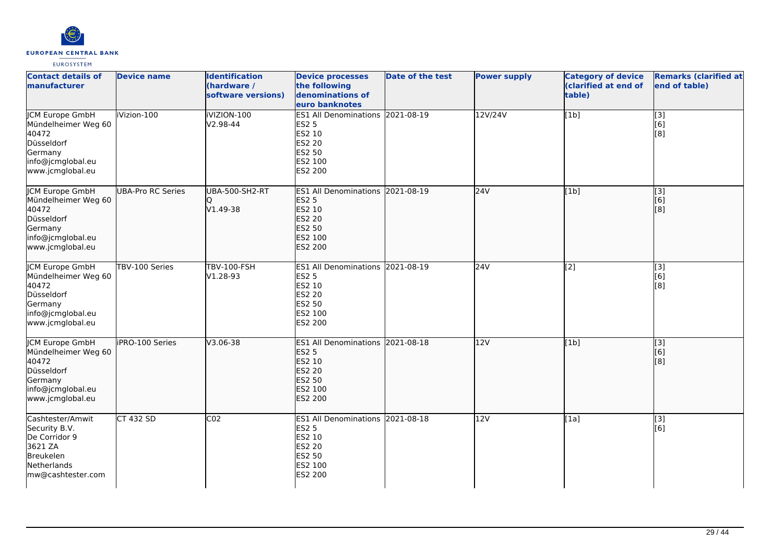

| <b>Contact details of</b><br>manufacturer                                                                                | <b>Device name</b>       | <b>Identification</b><br>(hardware /<br>software versions) | <b>Device processes</b><br>the following<br>denominations of<br>euro banknotes                                     | <b>Date of the test</b> | <b>Power supply</b> | <b>Category of device</b><br>(clarified at end of<br>table) | <b>Remarks (clarified at</b><br>end of table) |
|--------------------------------------------------------------------------------------------------------------------------|--------------------------|------------------------------------------------------------|--------------------------------------------------------------------------------------------------------------------|-------------------------|---------------------|-------------------------------------------------------------|-----------------------------------------------|
| <b>JCM Europe GmbH</b><br>Mündelheimer Weg 60<br>40472<br>Düsseldorf<br>Germany<br>info@jcmglobal.eu<br>www.jcmglobal.eu | iVizion-100              | IVIZION-100<br>V2.98-44                                    | ES1 All Denominations 2021-08-19<br><b>ES2 5</b><br>ES2 10<br>ES2 20<br>ES2 50<br>ES2 100<br>ES2 200               |                         | 12V/24V             | [1b]                                                        | $\overline{[3]}$<br>[6]<br>[8]                |
| JCM Europe GmbH<br>Mündelheimer Weg 60<br>40472<br>Düsseldorf<br>Germany<br>info@jcmglobal.eu<br>www.jcmglobal.eu        | <b>UBA-Pro RC Series</b> | <b>UBA-500-SH2-RT</b><br>V1.49-38                          | ES1 All Denominations 2021-08-19<br><b>ES2 5</b><br>ES2 10<br>ES2 20<br>ES2 50<br>ES2 100<br><b>ES2 200</b>        |                         | 24V                 | [1b]                                                        | $\overline{[}3]$<br>[6]<br>[8]                |
| JCM Europe GmbH<br>Mündelheimer Weg 60<br>40472<br>Düsseldorf<br>Germany<br>info@jcmglobal.eu<br>www.jcmglobal.eu        | TBV-100 Series           | <b>TBV-100-FSH</b><br>V1.28-93                             | <b>ES1 All Denominations</b><br><b>ES2 5</b><br>ES2 10<br>ES2 20<br><b>ES2 50</b><br>ES2 100<br>ES2 200            | 2021-08-19              | 24V                 | $\overline{[2]}$                                            | [3]<br>[6]<br>[8]                             |
| <b>JCM Europe GmbH</b><br>Mündelheimer Weg 60<br>40472<br>Düsseldorf<br>Germany<br>info@jcmglobal.eu<br>www.jcmglobal.eu | iPRO-100 Series          | $V3.06 - 38$                                               | ES1 All Denominations 2021-08-18<br><b>ES2 5</b><br>ES2 10<br><b>ES2 20</b><br>ES2 50<br>ES2 100<br><b>ES2 200</b> |                         | 12V                 | [1b]                                                        | $\overline{[}3]$<br>[6]<br>[8]                |
| Cashtester/Amwit<br>Security B.V.<br>De Corridor 9<br>3621 ZA<br>Breukelen<br>Netherlands<br>mw@cashtester.com           | <b>CT 432 SD</b>         | CO <sub>2</sub>                                            | ES1 All Denominations 2021-08-18<br><b>ES2 5</b><br>ES2 10<br>ES2 20<br>ES2 50<br>ES2 100<br>ES2 200               |                         | 12V                 | [1a]                                                        | [3]<br>[6]                                    |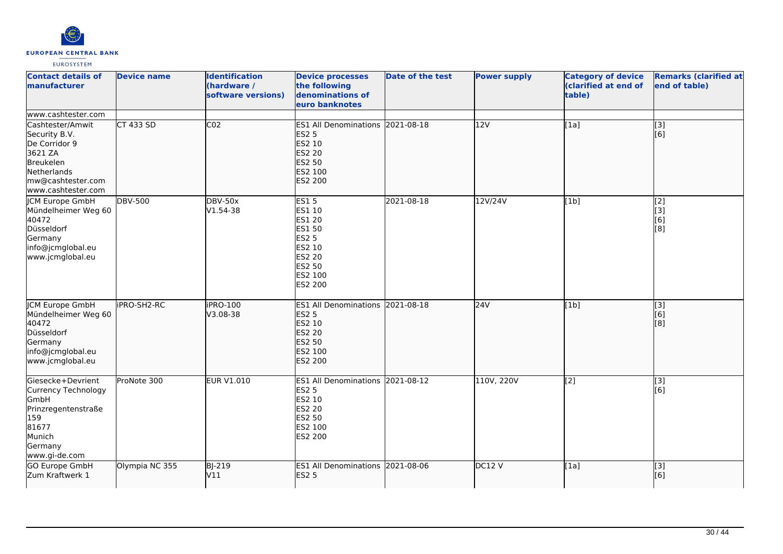

| <b>Contact details of</b><br><b>Imanufacturer</b>                                                                                           | <b>Device name</b> | <b>Identification</b><br>(hardware /<br>software versions) | <b>Device processes</b><br>the following<br>denominations of<br>euro banknotes                                       | <b>Date of the test</b> | <b>Power supply</b> | <b>Category of device</b><br>(clarified at end of<br>table) | <b>Remarks (clarified at</b><br>end of table) |
|---------------------------------------------------------------------------------------------------------------------------------------------|--------------------|------------------------------------------------------------|----------------------------------------------------------------------------------------------------------------------|-------------------------|---------------------|-------------------------------------------------------------|-----------------------------------------------|
| www.cashtester.com                                                                                                                          |                    |                                                            |                                                                                                                      |                         |                     |                                                             |                                               |
| Cashtester/Amwit<br>Security B.V.<br>De Corridor 9<br>3621 ZA<br><b>Breukelen</b><br>Netherlands<br>mw@cashtester.com<br>www.cashtester.com | CT 433 SD          | CO <sub>2</sub>                                            | ES1 All Denominations 2021-08-18<br><b>ES2 5</b><br>ES2 10<br><b>ES2 20</b><br><b>ES2 50</b><br>ES2 100<br>ES2 200   |                         | 12V                 | [1a]                                                        | $\overline{[3]}$<br>[6]                       |
| <b>ICM Europe GmbH</b><br>Mündelheimer Weg 60<br>40472<br>Düsseldorf<br>Germany<br>info@jcmglobal.eu<br>www.jcmglobal.eu                    | <b>DBV-500</b>     | <b>DBV-50x</b><br>V1.54-38                                 | <b>ES15</b><br>ES1 10<br>ES1 20<br><b>ES1 50</b><br><b>ES2 5</b><br>ES2 10<br>ES2 20<br>ES2 50<br>ES2 100<br>ES2 200 | 2021-08-18              | 12V/24V             | [1b]                                                        | [2]<br>[3]<br>[6]<br>[8]                      |
| <b>JCM Europe GmbH</b><br>Mündelheimer Weg 60<br>40472<br>Düsseldorf<br>Germany<br>info@jcmglobal.eu<br>www.jcmglobal.eu                    | iPRO-SH2-RC        | iPRO-100<br>V3.08-38                                       | ES1 All Denominations 2021-08-18<br><b>ES2 5</b><br>ES2 10<br><b>ES2 20</b><br>ES2 50<br>ES2 100<br><b>ES2 200</b>   |                         | 24V                 | [1b]                                                        | $\overline{[}3]$<br>[6]<br>[8]                |
| Giesecke+Devrient<br>Currency Technology<br><b>GmbH</b><br>Prinzregentenstraße<br>159<br>81677<br>Munich<br>Germany<br>www.gi-de.com        | ProNote 300        | <b>EUR V1.010</b>                                          | ES1 All Denominations 2021-08-12<br><b>ES2 5</b><br>ES2 10<br>ES2 20<br>ES2 50<br>ES2 100<br>ES2 200                 |                         | 110V, 220V          | [2]                                                         | $[3]$<br>[6]                                  |
| GO Europe GmbH<br>Zum Kraftwerk 1                                                                                                           | Olympia NC 355     | <b>BJ-219</b><br>V11                                       | ES1 All Denominations 2021-08-06<br><b>ES2 5</b>                                                                     |                         | DC12 V              | [1a]                                                        | $\overline{[}$ [3]<br>[6]                     |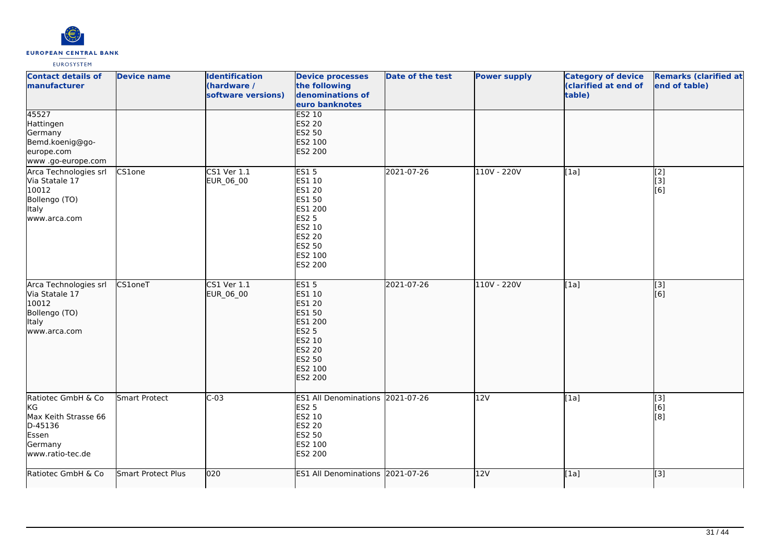

| <b>Contact details of</b><br>manufacturer                                                           | <b>Device name</b> | <b>Identification</b><br>(hardware /<br>software versions) | <b>Device processes</b><br>the following<br>denominations of<br>euro banknotes                                                         | <b>Date of the test</b> | <b>Power supply</b> | <b>Category of device</b><br>(clarified at end of<br>table) | <b>Remarks (clarified at</b><br>end of table)      |
|-----------------------------------------------------------------------------------------------------|--------------------|------------------------------------------------------------|----------------------------------------------------------------------------------------------------------------------------------------|-------------------------|---------------------|-------------------------------------------------------------|----------------------------------------------------|
| 45527<br>Hattingen<br>Germany<br>Bemd.koenig@go-<br>europe.com<br>www.go-europe.com                 |                    |                                                            | <b>ES2 10</b><br><b>ES2 20</b><br>ES2 50<br>ES2 100<br>ES2 200                                                                         |                         |                     |                                                             |                                                    |
| Arca Technologies srl<br>Via Statale 17<br>10012<br>Bollengo (TO)<br><b>Italy</b><br>www.arca.com   | CS1one             | $CS1$ Ver $1.1$<br>EUR_06_00                               | <b>ES15</b><br>ES1 10<br>ES1 20<br><b>ES1 50</b><br>ES1 200<br><b>ES2 5</b><br>ES2 10<br><b>ES2 20</b><br>ES2 50<br>ES2 100<br>ES2 200 | 2021-07-26              | 110V - 220V         | [1a]                                                        | $\overline{[2]}$<br>[3]<br>[6]                     |
| Arca Technologies srl<br>Via Statale 17<br>10012<br>Bollengo (TO)<br>Italy<br>www.arca.com          | CS1oneT            | CS1 Ver 1.1<br>EUR_06_00                                   | <b>ES15</b><br>ES1 10<br>ES1 20<br>ES1 50<br>ES1 200<br><b>ES2 5</b><br>ES2 10<br><b>ES2 20</b><br>ES2 50<br>ES2 100<br><b>ES2 200</b> | 2021-07-26              | 110V - 220V         | [1a]                                                        | [3]<br>[6]                                         |
| Ratiotec GmbH & Co<br>KG<br>Max Keith Strasse 66<br>D-45136<br>Essen<br>Germany<br>www.ratio-tec.de | Smart Protect      | $C-03$                                                     | ES1 All Denominations 2021-07-26<br><b>ES2 5</b><br><b>ES2 10</b><br><b>ES2 20</b><br>ES2 50<br>ES2 100<br>ES2 200                     |                         | 12V                 | [1a]                                                        | [3]<br>[6]<br>[8]                                  |
| Ratiotec GmbH & Co                                                                                  | Smart Protect Plus | 020                                                        | ES1 All Denominations 2021-07-26                                                                                                       |                         | 12V                 | [1a]                                                        | $\left[ \begin{matrix} 1 & 3 \end{matrix} \right]$ |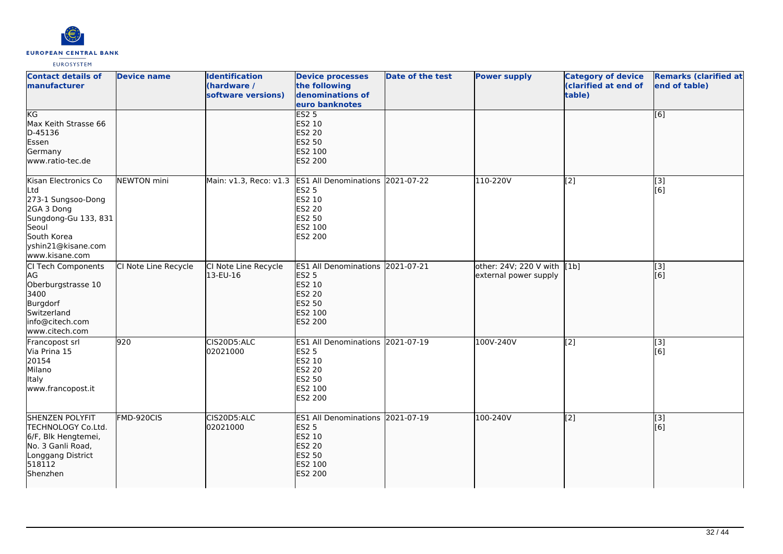

| <b>Contact details of</b><br>manufacturer                                                                                                               | <b>Device name</b>   | <b>Identification</b><br>(hardware /<br>software versions) | <b>Device processes</b><br>the following<br>denominations of<br>euro banknotes                                              | Date of the test | <b>Power supply</b>                                  | <b>Category of device</b><br>(clarified at end of<br>table) | <b>Remarks (clarified at</b><br>end of table) |
|---------------------------------------------------------------------------------------------------------------------------------------------------------|----------------------|------------------------------------------------------------|-----------------------------------------------------------------------------------------------------------------------------|------------------|------------------------------------------------------|-------------------------------------------------------------|-----------------------------------------------|
| KG<br>Max Keith Strasse 66<br>D-45136<br>Essen<br>Germany<br>www.ratio-tec.de                                                                           |                      |                                                            | ES2 <sub>5</sub><br>ES2 10<br><b>ES2 20</b><br><b>ES2 50</b><br>ES2 100<br><b>ES2 200</b>                                   |                  |                                                      |                                                             | [6]                                           |
| Kisan Electronics Co<br>Ltd<br>273-1 Sungsoo-Dong<br>2GA 3 Dong<br>Sungdong-Gu 133, 831<br>Seoul<br>South Korea<br>yshin21@kisane.com<br>www.kisane.com | NEWTON mini          |                                                            | Main: v1.3, Reco: v1.3 ES1 All Denominations 2021-07-22<br><b>ES2 5</b><br>ES2 10<br>ES2 20<br>ES2 50<br>ES2 100<br>ES2 200 |                  | 110-220V                                             | [2]                                                         | [3]<br>[6]                                    |
| CI Tech Components<br>AG.<br>Oberburgstrasse 10<br>3400<br>Burgdorf<br>Switzerland<br>info@citech.com<br>www.citech.com                                 | CI Note Line Recycle | CI Note Line Recycle<br>13-EU-16                           | ES1 All Denominations 2021-07-21<br><b>ES2 5</b><br>ES2 10<br><b>ES2 20</b><br>ES2 50<br>ES2 100<br><b>ES2 200</b>          |                  | other: 24V; 220 V with [1b]<br>external power supply |                                                             | $\overline{[}$ [3]<br>[6]                     |
| Francopost srl<br>Via Prina 15<br>20154<br>Milano<br>Italy<br>www.francopost.it                                                                         | 920                  | CIS20D5:ALC<br>02021000                                    | ES1 All Denominations 2021-07-19<br><b>ES2 5</b><br>ES2 10<br>ES2 20<br>ES2 50<br>ES2 100<br>ES2 200                        |                  | 100V-240V                                            | $\overline{[2]}$                                            | $\overline{[3]}$<br>[6]                       |
| <b>SHENZEN POLYFIT</b><br>TECHNOLOGY Co.Ltd.<br>6/F, Blk Hengtemei,<br>No. 3 Ganli Road,<br>Longgang District<br>518112<br>Shenzhen                     | FMD-920CIS           | CIS20D5:ALC<br>02021000                                    | ES1 All Denominations 2021-07-19<br><b>ES2 5</b><br>ES2 10<br>ES2 20<br>ES2 50<br>ES2 100<br><b>ES2 200</b>                 |                  | 100-240V                                             | $\overline{[2]}$                                            | [3]<br>[6]                                    |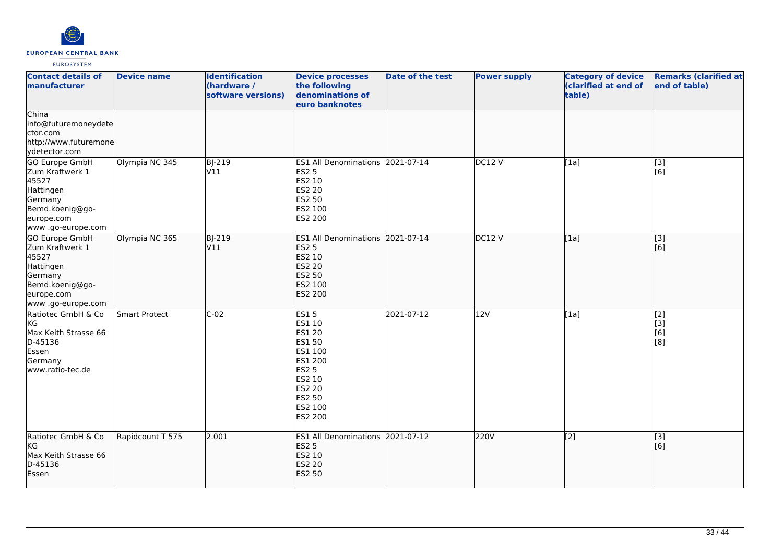

| <b>Contact details of</b><br>manufacturer                                                                                 | <b>Device name</b>   | <b>Identification</b><br>(hardware /<br>software versions) | <b>Device processes</b><br>the following<br>denominations of<br>euro banknotes                                                      | Date of the test | <b>Power supply</b> | <b>Category of device</b><br>(clarified at end of<br>table) | <b>Remarks (clarified at</b><br>end of table) |
|---------------------------------------------------------------------------------------------------------------------------|----------------------|------------------------------------------------------------|-------------------------------------------------------------------------------------------------------------------------------------|------------------|---------------------|-------------------------------------------------------------|-----------------------------------------------|
| China<br>info@futuremoneydete<br>ctor.com<br>http://www.futuremone<br>ydetector.com                                       |                      |                                                            |                                                                                                                                     |                  |                     |                                                             |                                               |
| GO Europe GmbH<br>Zum Kraftwerk 1<br>45527<br>Hattingen<br>Germany<br>Bemd.koenig@go-<br>europe.com<br>www .go-europe.com | Olympia NC 345       | <b>BJ-219</b><br>V11                                       | ES1 All Denominations 2021-07-14<br><b>ES2 5</b><br>ES2 10<br>ES2 20<br>ES2 50<br>ES2 100<br>ES2 200                                |                  | DC12V               | [1a]                                                        | [3]<br>$\overline{[}6\overline{]}$            |
| GO Europe GmbH<br>Zum Kraftwerk 1<br>45527<br>Hattingen<br>Germany<br>Bemd.koenig@go-<br>europe.com<br>www .go-europe.com | Olympia NC 365       | <b>BJ-219</b><br>V11                                       | ES1 All Denominations 2021-07-14<br><b>ES2 5</b><br>ES2 10<br>ES2 20<br>ES2 50<br>ES2 100<br><b>ES2 200</b>                         |                  | DC12V               | [1a]                                                        | $\overline{[}3]$<br>[6]                       |
| Ratiotec GmbH & Co<br><b>I</b> KG<br>Max Keith Strasse 66<br>D-45136<br>Essen<br>Germany<br>www.ratio-tec.de              | <b>Smart Protect</b> | $C-02$                                                     | <b>ES15</b><br>ES1 10<br>ES1 20<br>ES1 50<br>ES1 100<br>ES1 200<br><b>ES2 5</b><br>ES2 10<br>ES2 20<br>ES2 50<br>ES2 100<br>ES2 200 | 2021-07-12       | 12V                 | [1a]                                                        | [2]<br>[3]<br>[6]<br>[8]                      |
| Ratiotec GmbH & Co<br>kG<br>Max Keith Strasse 66<br>D-45136<br>Essen                                                      | Rapidcount T 575     | 2.001                                                      | ES1 All Denominations 2021-07-12<br><b>ES2 5</b><br>ES2 10<br>ES2 20<br>ES2 50                                                      |                  | 220V                | $\overline{[2]}$                                            | $\overline{[}3]$<br>[6]                       |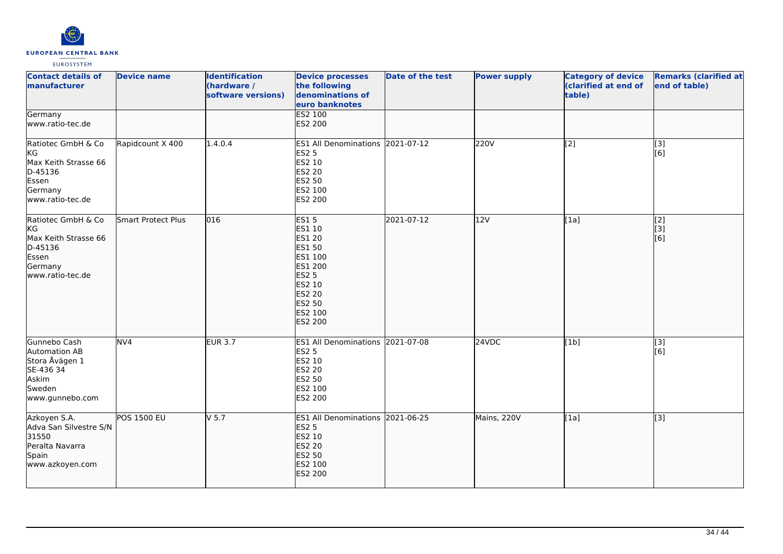

| <b>Contact details of</b><br>manufacturer                                                                  | <b>Device name</b>        | <b>Identification</b><br>(hardware /<br>software versions) | <b>Device processes</b><br>the following<br>denominations of<br>euro banknotes                                                                    | Date of the test | <b>Power supply</b> | <b>Category of device</b><br>(clarified at end of<br>table) | <b>Remarks (clarified at</b><br>end of table) |
|------------------------------------------------------------------------------------------------------------|---------------------------|------------------------------------------------------------|---------------------------------------------------------------------------------------------------------------------------------------------------|------------------|---------------------|-------------------------------------------------------------|-----------------------------------------------|
| Germany<br>www.ratio-tec.de                                                                                |                           |                                                            | <b>ES2 100</b><br>ES2 200                                                                                                                         |                  |                     |                                                             |                                               |
| Ratiotec GmbH & Co<br>KG<br>Max Keith Strasse 66<br>D-45136<br>Essen<br>Germany<br>www.ratio-tec.de        | Rapidcount X 400          | 1.4.0.4                                                    | ES1 All Denominations 2021-07-12<br><b>ES2 5</b><br>ES2 10<br>ES2 20<br>ES2 50<br>ES2 100<br>ES2 200                                              |                  | 220V                | $\overline{[2]}$                                            | $[3]$<br>[6]                                  |
| Ratiotec GmbH & Co<br><b>KG</b><br>Max Keith Strasse 66<br>D-45136<br>Essen<br>Germany<br>www.ratio-tec.de | <b>Smart Protect Plus</b> | 016                                                        | <b>ES15</b><br>ES1 10<br>ES1 20<br><b>ES1 50</b><br>ES1 100<br>ES1 200<br><b>ES2 5</b><br>ES2 10<br><b>ES2 20</b><br>ES2 50<br>ES2 100<br>ES2 200 | 2021-07-12       | 12V                 | [1a]                                                        | [2]<br>[3]<br>[6]                             |
| Gunnebo Cash<br>Automation AB<br>Stora Åvägen 1<br>SE-436 34<br>Askim<br>Sweden<br>www.gunnebo.com         | $\overline{NV4}$          | <b>EUR 3.7</b>                                             | ES1 All Denominations 2021-07-08<br><b>ES2 5</b><br>ES2 10<br><b>ES2 20</b><br>ES2 50<br>ES2 100<br>ES2 200                                       |                  | 24VDC               | [1b]                                                        | $\overline{[3]}$<br>[6]                       |
| Azkoyen S.A.<br>Adva San Silvestre S/N<br>31550<br>Peralta Navarra<br>Spain<br>www.azkoyen.com             | POS 1500 EU               | V <sub>5.7</sub>                                           | ES1 All Denominations 2021-06-25<br><b>ES2 5</b><br>ES2 10<br><b>ES2 20</b><br>ES2 50<br>ES2 100<br>ES2 200                                       |                  | Mains, 220V         | [1a]                                                        | [3]                                           |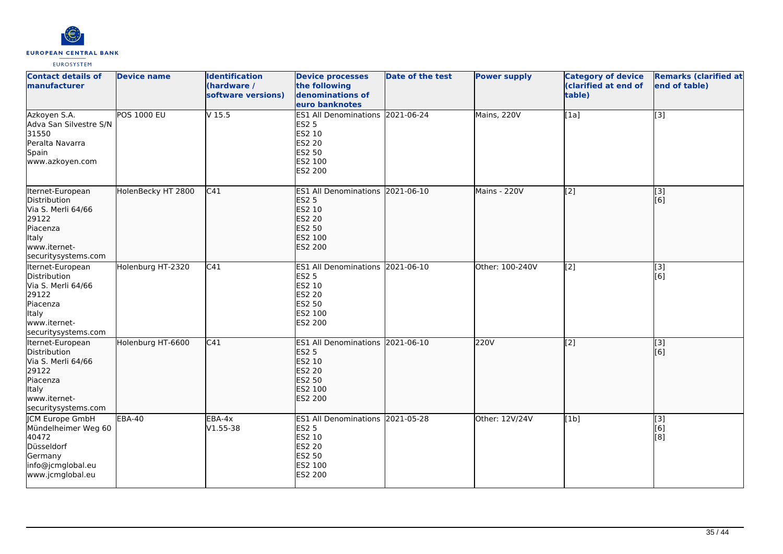

| <b>Contact details of</b><br>manufacturer                                                                                          | <b>Device name</b> | <b>Identification</b><br>(hardware /<br>software versions) | <b>Device processes</b><br>the following<br>denominations of<br>euro banknotes                                     | <b>Date of the test</b> | <b>Power supply</b> | <b>Category of device</b><br>(clarified at end of<br>table) | <b>Remarks (clarified at</b><br>end of table) |
|------------------------------------------------------------------------------------------------------------------------------------|--------------------|------------------------------------------------------------|--------------------------------------------------------------------------------------------------------------------|-------------------------|---------------------|-------------------------------------------------------------|-----------------------------------------------|
| Azkoyen S.A.<br>Adva San Silvestre S/N<br>31550<br>Peralta Navarra<br>Spain<br>www.azkoyen.com                                     | <b>POS 1000 EU</b> | V <sub>15.5</sub>                                          | ES1 All Denominations 2021-06-24<br><b>ES2 5</b><br>ES2 10<br><b>ES2 20</b><br>ES2 50<br>ES2 100<br>ES2 200        |                         | Mains, 220V         | [1a]                                                        | $[3]$                                         |
| Iternet-European<br>Distribution<br>Via S. Merli 64/66<br>29122<br>Piacenza<br><b>Italy</b><br>www.iternet-<br>securitysystems.com | HolenBecky HT 2800 | C41                                                        | <b>ES1 All Denominations</b><br><b>ES2 5</b><br>ES2 10<br><b>ES2 20</b><br><b>ES2 50</b><br>ES2 100<br>ES2 200     | 2021-06-10              | Mains - 220V        | $\overline{[2]}$                                            | $\overline{[3]}$<br>[6]                       |
| Iternet-European<br>Distribution<br>Via S. Merli 64/66<br>29122<br>Piacenza<br><b>Italy</b><br>www.iternet-<br>securitysystems.com | Holenburg HT-2320  | $\overline{C41}$                                           | ES1 All Denominations 2021-06-10<br><b>ES2 5</b><br>ES2 10<br><b>ES2 20</b><br>ES2 50<br>ES2 100<br>ES2 200        |                         | Other: 100-240V     | $\overline{[2]}$                                            | $\overline{[3]}$<br>[6]                       |
| Iternet-European<br>Distribution<br>Via S. Merli 64/66<br>29122<br>Piacenza<br>Italy<br>www.iternet-<br>securitysystems.com        | Holenburg HT-6600  | C41                                                        | ES1 All Denominations 2021-06-10<br><b>ES2 5</b><br>ES2 10<br><b>ES2 20</b><br>ES2 50<br>ES2 100<br><b>ES2 200</b> |                         | <b>220V</b>         | $\overline{[2]}$                                            | $\overline{[}3]$<br>[6]                       |
| <b>CM Europe GmbH</b><br>Mündelheimer Weg 60<br>40472<br>Düsseldorf<br>Germany<br>info@jcmglobal.eu<br>www.jcmglobal.eu            | <b>EBA-40</b>      | EBA-4x<br>V1.55-38                                         | ES1 All Denominations 2021-05-28<br><b>ES2 5</b><br>ES2 10<br><b>ES2 20</b><br>ES2 50<br>ES2 100<br>ES2 200        |                         | Other: 12V/24V      | [1b]                                                        | $\overline{[3]}$<br>[6]<br>[8]                |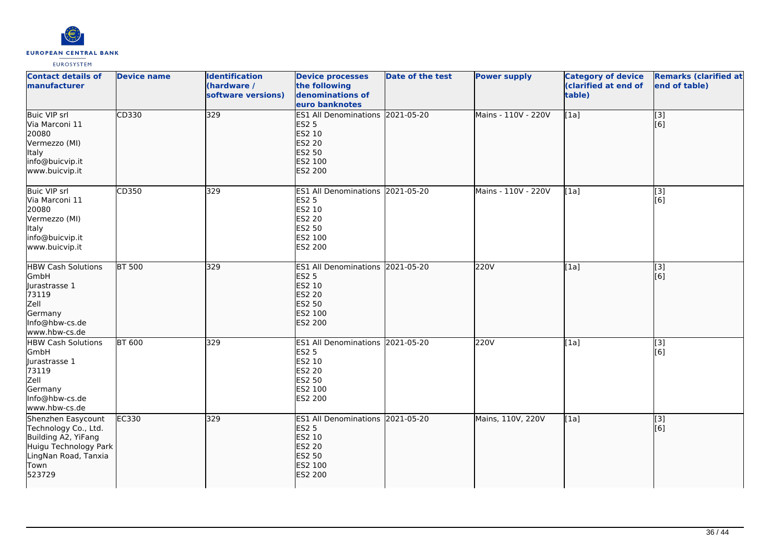

| <b>Contact details of</b><br>manufacturer                                                                                            | <b>Device name</b> | <b>Identification</b><br>(hardware /<br>software versions) | <b>Device processes</b><br>the following<br>denominations of<br>euro banknotes                                            | <b>Date of the test</b> | <b>Power supply</b> | <b>Category of device</b><br>(clarified at end of<br>table) | <b>Remarks (clarified at</b><br>end of table)             |
|--------------------------------------------------------------------------------------------------------------------------------------|--------------------|------------------------------------------------------------|---------------------------------------------------------------------------------------------------------------------------|-------------------------|---------------------|-------------------------------------------------------------|-----------------------------------------------------------|
| <b>Buic VIP srl</b><br>Via Marconi 11<br>20080<br>Vermezzo (MI)<br>Italy<br>info@buicvip.it<br>www.buicvip.it                        | CD330              | 329                                                        | ES1 All Denominations 2021-05-20<br><b>ES2 5</b><br>ES2 10<br><b>ES2 20</b><br>ES2 50<br>ES2 100<br><b>ES2 200</b>        |                         | Mains - 110V - 220V | [1a]                                                        | $\overline{[}$ [3]<br>[6]                                 |
| Buic VIP srl<br>Via Marconi 11<br>20080<br>Vermezzo (MI)<br>Italy<br>info@buicvip.it<br>www.buicvip.it                               | CD350              | 329                                                        | ES1 All Denominations 2021-05-20<br><b>ES2 5</b><br>ES2 10<br>ES2 20<br>ES2 50<br>ES2 100<br>ES2 200                      |                         | Mains - 110V - 220V | [1a]                                                        | $\overline{[3]}$<br>[6]                                   |
| <b>HBW Cash Solutions</b><br>GmbH<br>Jurastrasse 1<br>73119<br>Zell<br>Germany<br>Info@hbw-cs.de<br>www.hbw-cs.de                    | <b>BT 500</b>      | 329                                                        | ES1 All Denominations 2021-05-20<br><b>ES2 5</b><br>ES2 10<br><b>ES2 20</b><br>ES2 50<br>ES2 100<br><b>ES2 200</b>        |                         | 220V                | [1a]                                                        | $\overline{[}3]$<br>[6]                                   |
| <b>HBW Cash Solutions</b><br>GmbH<br>Jurastrasse 1<br>73119<br>Zell<br>Germany<br>Info@hbw-cs.de<br>www.hbw-cs.de                    | <b>BT 600</b>      | 329                                                        | ES1 All Denominations 2021-05-20<br><b>ES2 5</b><br>ES2 10<br>ES2 20<br>ES2 50<br>ES2 100<br>ES2 200                      |                         | 220V                | [1a]                                                        | $\overline{[3]}$<br>[6]                                   |
| Shenzhen Easycount<br>Technology Co., Ltd.<br>Building A2, YiFang<br>Huigu Technology Park<br>LingNan Road, Tanxia<br>Town<br>523729 | EC330              | 329                                                        | ES1 All Denominations 2021-05-20<br><b>ES2 5</b><br>ES2 10<br><b>ES2 20</b><br><b>ES2 50</b><br>ES2 100<br><b>ES2 200</b> |                         | Mains, 110V, 220V   | [1a]                                                        | $\left[ \begin{matrix} 1 & 3 \end{matrix} \right]$<br>[6] |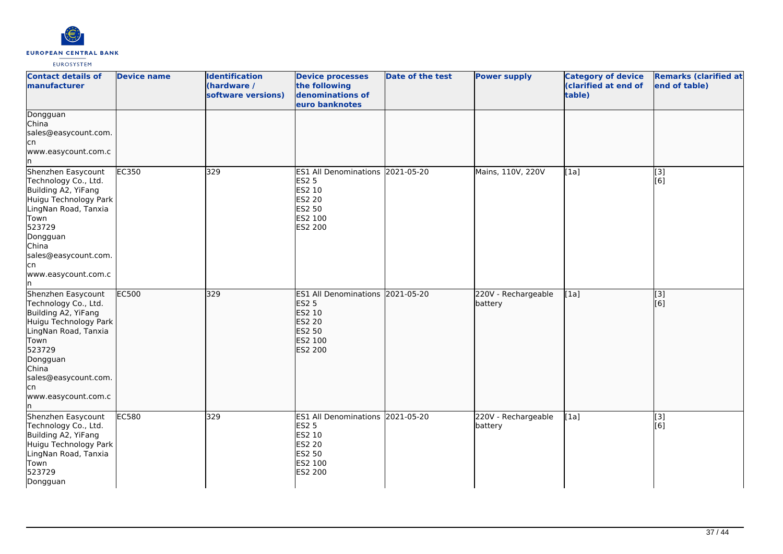

| <b>Contact details of</b><br><b>manufacturer</b>                                                                                                                                                               | <b>Device name</b> | <b>Identification</b><br>(hardware /<br>software versions) | <b>Device processes</b><br>the following<br>denominations of<br>euro banknotes                                     | Date of the test | <b>Power supply</b>            | <b>Category of device</b><br>(clarified at end of<br>table) | <b>Remarks (clarified at</b><br>end of table) |
|----------------------------------------------------------------------------------------------------------------------------------------------------------------------------------------------------------------|--------------------|------------------------------------------------------------|--------------------------------------------------------------------------------------------------------------------|------------------|--------------------------------|-------------------------------------------------------------|-----------------------------------------------|
| Dongguan<br><b>l</b> China<br>sales@easycount.com.<br>cn<br>www.easycount.com.c                                                                                                                                |                    |                                                            |                                                                                                                    |                  |                                |                                                             |                                               |
| Shenzhen Easycount<br>Technology Co., Ltd.<br>Building A2, YiFang<br>Huigu Technology Park<br>LingNan Road, Tanxia<br>Town<br>523729<br>Dongguan<br>China<br>sales@easycount.com.<br>cn<br>www.easycount.com.c | EC350              | 329                                                        | ES1 All Denominations 2021-05-20<br><b>ES2 5</b><br>ES2 10<br><b>ES2 20</b><br>ES2 50<br>ES2 100<br>ES2 200        |                  | Mains, 110V, 220V              | [1a]                                                        | [3]<br>[6]                                    |
| Shenzhen Easycount<br>Technology Co., Ltd.<br>Building A2, YiFang<br>Huigu Technology Park<br>LingNan Road, Tanxia<br>Town<br>523729<br>Dongguan<br>China<br>sales@easycount.com.<br>cn<br>www.easycount.com.c | <b>EC500</b>       | 329                                                        | ES1 All Denominations 2021-05-20<br><b>ES2 5</b><br>ES2 10<br><b>ES2 20</b><br>ES2 50<br>ES2 100<br><b>ES2 200</b> |                  | 220V - Rechargeable<br>battery | [1a]                                                        | $\overline{[}3]$<br>[6]                       |
| Shenzhen Easycount<br>Technology Co., Ltd.<br>Building A2, YiFang<br>Huigu Technology Park<br>LingNan Road, Tanxia<br>Town<br>523729<br>Dongguan                                                               | <b>EC580</b>       | 329                                                        | ES1 All Denominations 2021-05-20<br><b>ES2 5</b><br>ES2 10<br><b>ES2 20</b><br>ES2 50<br>ES2 100<br>ES2 200        |                  | 220V - Rechargeable<br>battery | [1a]                                                        | $\overline{[3]}$<br>[6]                       |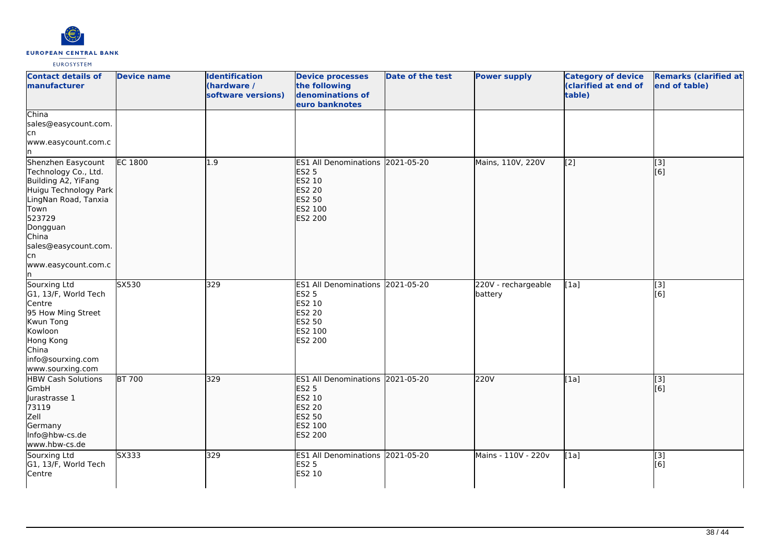

| <b>Contact details of</b><br><b>Imanufacturer</b>                                                                                                                                                               | <b>Device name</b> | <b>Identification</b><br>(hardware /<br>software versions) | <b>Device processes</b><br>the following<br>denominations of<br>euro banknotes                                     | <b>Date of the test</b> | <b>Power supply</b>            | <b>Category of device</b><br>(clarified at end of<br>table) | <b>Remarks (clarified at</b><br>end of table) |
|-----------------------------------------------------------------------------------------------------------------------------------------------------------------------------------------------------------------|--------------------|------------------------------------------------------------|--------------------------------------------------------------------------------------------------------------------|-------------------------|--------------------------------|-------------------------------------------------------------|-----------------------------------------------|
| China<br>sales@easycount.com.<br>lcn<br>www.easycount.com.c<br>In                                                                                                                                               |                    |                                                            |                                                                                                                    |                         |                                |                                                             |                                               |
| Shenzhen Easycount<br>Technology Co., Ltd.<br>Building A2, YiFang<br>Huigu Technology Park<br>LingNan Road, Tanxia<br>Town<br>523729<br>Dongguan<br>China<br>sales@easycount.com.<br>lcn<br>www.easycount.com.c | EC 1800            | 1.9                                                        | ES1 All Denominations 2021-05-20<br><b>ES2 5</b><br>ES2 10<br><b>ES2 20</b><br>ES2 50<br>ES2 100<br><b>ES2 200</b> |                         | Mains, 110V, 220V              | [2]                                                         | [3]<br>$\overline{[}6\overline{)}$            |
| Sourxing Ltd<br>G1, 13/F, World Tech<br>Centre<br>95 How Ming Street<br>Kwun Tong<br>Kowloon<br>Hong Kong<br>China<br>info@sourxing.com<br>www.sourxing.com                                                     | SX530              | 329                                                        | ES1 All Denominations 2021-05-20<br><b>ES2 5</b><br>ES2 10<br><b>ES2 20</b><br><b>ES2 50</b><br>ES2 100<br>ES2 200 |                         | 220V - rechargeable<br>battery | [1a]                                                        | [3]<br>[6]                                    |
| <b>HBW Cash Solutions</b><br><b>GmbH</b><br>Jurastrasse 1<br>73119<br>Zell<br>Germany<br>Info@hbw-cs.de<br>www.hbw-cs.de                                                                                        | <b>BT 700</b>      | 329                                                        | ES1 All Denominations 2021-05-20<br><b>ES2 5</b><br>ES2 10<br><b>ES2 20</b><br>ES2 50<br>ES2 100<br>ES2 200        |                         | 220V                           | [1a]                                                        | $\overline{[3]}$<br>[6]                       |
| Sourxing Ltd<br>G1, 13/F, World Tech<br>Centre                                                                                                                                                                  | SX333              | 329                                                        | ES1 All Denominations 2021-05-20<br><b>ES2 5</b><br>ES2 10                                                         |                         | Mains - 110V - 220v            | [1a]                                                        | $\overline{[}3]$<br>[6]                       |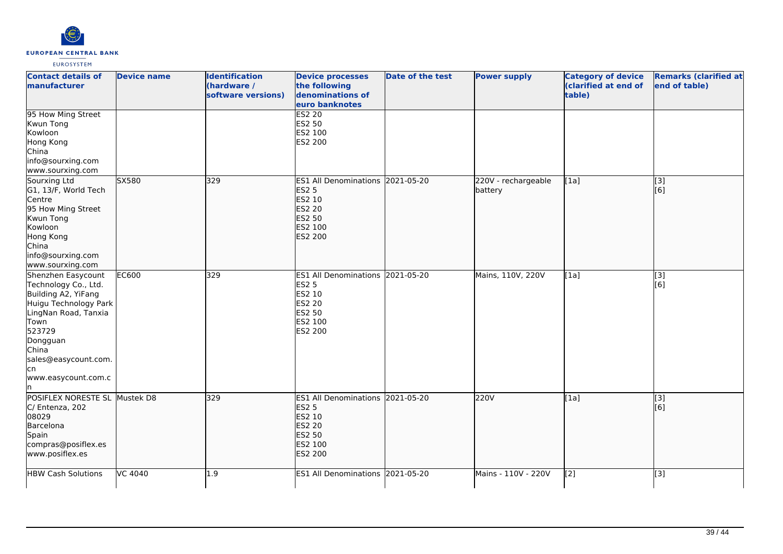

| <b>Contact details of</b><br>manufacturer                                                                                                                                                                       | <b>Device name</b> | <b>Identification</b><br>(hardware /<br>software versions) | <b>Device processes</b><br>the following<br>denominations of<br>euro banknotes                                            | <b>Date of the test</b> | <b>Power supply</b>            | <b>Category of device</b><br>(clarified at end of<br>table) | <b>Remarks (clarified at</b><br>end of table) |
|-----------------------------------------------------------------------------------------------------------------------------------------------------------------------------------------------------------------|--------------------|------------------------------------------------------------|---------------------------------------------------------------------------------------------------------------------------|-------------------------|--------------------------------|-------------------------------------------------------------|-----------------------------------------------|
| 95 How Ming Street<br>Kwun Tong<br>Kowloon<br>Hong Kong<br>China<br>info@sourxing.com<br>www.sourxing.com                                                                                                       |                    |                                                            | <b>ES2 20</b><br>ES2 50<br>ES2 100<br>ES2 200                                                                             |                         |                                |                                                             |                                               |
| Sourxing Ltd<br>G1, 13/F, World Tech<br>Centre<br>95 How Ming Street<br>Kwun Tong<br>Kowloon<br>Hong Kong<br>China<br>info@sourxing.com<br>www.sourxing.com                                                     | SX580              | 329                                                        | ES1 All Denominations 2021-05-20<br><b>ES2 5</b><br>ES2 10<br><b>ES2 20</b><br><b>ES2 50</b><br>ES2 100<br>ES2 200        |                         | 220V - rechargeable<br>battery | [1a]                                                        | [3]<br>[6]                                    |
| Shenzhen Easycount<br>Technology Co., Ltd.<br>Building A2, YiFang<br>Huigu Technology Park<br>LingNan Road, Tanxia<br>Town<br>523729<br>Dongguan<br>China<br>sales@easycount.com.<br>lcn<br>www.easycount.com.c | EC600              | 329                                                        | ES1 All Denominations 2021-05-20<br><b>ES2 5</b><br>ES2 10<br>ES2 20<br>ES2 50<br>ES2 100<br>ES2 200                      |                         | Mains, 110V, 220V              | [1a]                                                        | [3]<br>[6]                                    |
| POSIFLEX NORESTE SL Mustek D8<br>C/ Entenza, 202<br>08029<br>Barcelona<br>Spain<br>compras@posiflex.es<br>www.posiflex.es                                                                                       |                    | 329                                                        | ES1 All Denominations 2021-05-20<br><b>ES2 5</b><br>ES2 10<br><b>ES2 20</b><br><b>ES2 50</b><br>ES2 100<br><b>ES2 200</b> |                         | 220V                           | [1a]                                                        | $\overline{[}$ [3]<br>[6]                     |
| <b>HBW Cash Solutions</b>                                                                                                                                                                                       | VC 4040            | 1.9                                                        | <b>ES1 All Denominations</b>                                                                                              | 2021-05-20              | Mains - 110V - 220V            | [2]                                                         | [3]                                           |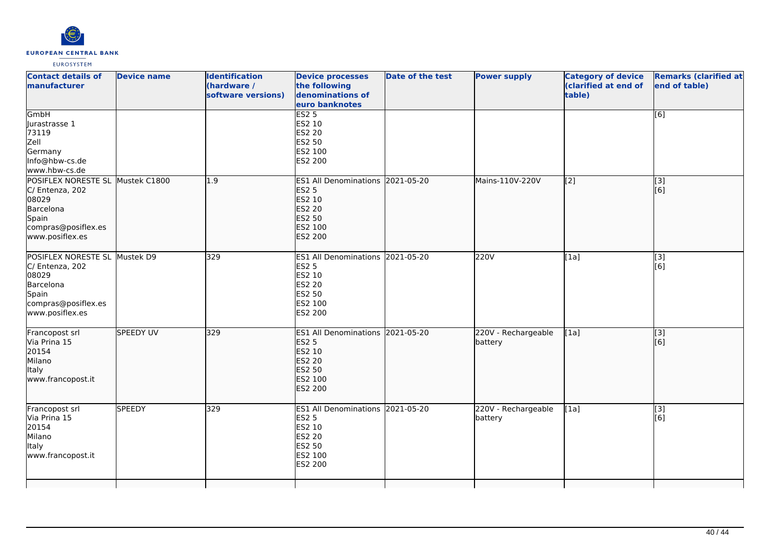

| <b>Contact details of</b><br>manufacturer                                                                                    | <b>Device name</b> | <b>Identification</b><br>(hardware /<br>software versions) | <b>Device processes</b><br>the following<br>denominations of<br>euro banknotes                                     | <b>Date of the test</b> | <b>Power supply</b>            | <b>Category of device</b><br>(clarified at end of<br>table) | <b>Remarks (clarified at</b><br>end of table) |
|------------------------------------------------------------------------------------------------------------------------------|--------------------|------------------------------------------------------------|--------------------------------------------------------------------------------------------------------------------|-------------------------|--------------------------------|-------------------------------------------------------------|-----------------------------------------------|
| GmbH<br>Jurastrasse 1<br>73119<br>Zell<br>Germany<br>Info@hbw-cs.de<br>www.hbw-cs.de                                         |                    |                                                            | ES2 <sub>5</sub><br>ES2 10<br><b>ES2 20</b><br><b>ES2 50</b><br>ES2 100<br>ES2 200                                 |                         |                                |                                                             | [6]                                           |
| POSIFLEX NORESTE SL Mustek C1800<br>C/ Entenza, 202<br>08029<br>Barcelona<br>Spain<br>compras@posiflex.es<br>www.posiflex.es |                    | 1.9                                                        | ES1 All Denominations 2021-05-20<br><b>ES2 5</b><br>ES2 10<br><b>ES2 20</b><br>ES2 50<br>ES2 100<br><b>ES2 200</b> |                         | Mains-110V-220V                | $\overline{[2]}$                                            | $\overline{[}3]$<br>[6]                       |
| POSIFLEX NORESTE SL Mustek D9<br>C/ Entenza, 202<br>08029<br>Barcelona<br>Spain<br>compras@posiflex.es<br>www.posiflex.es    |                    | 329                                                        | ES1 All Denominations 2021-05-20<br><b>ES2 5</b><br>ES2 10<br>ES2 20<br><b>ES2 50</b><br>ES2 100<br>ES2 200        |                         | 220V                           | [1a]                                                        | [3]<br>[6]                                    |
| Francopost srl<br>Via Prina 15<br>20154<br>Milano<br><b>Italy</b><br>www.francopost.it                                       | <b>SPEEDY UV</b>   | 329                                                        | ES1 All Denominations 2021-05-20<br><b>ES2 5</b><br>ES2 10<br><b>ES2 20</b><br><b>ES2 50</b><br>ES2 100<br>ES2 200 |                         | 220V - Rechargeable<br>battery | [1a]                                                        | $\overline{[}3]$<br>[6]                       |
| Francopost srl<br>Via Prina 15<br>20154<br>Milano<br><b>Italy</b><br>www.francopost.it                                       | <b>SPEEDY</b>      | 329                                                        | ES1 All Denominations 2021-05-20<br><b>ES2 5</b><br>ES2 10<br>ES2 20<br>ES2 50<br>ES2 100<br>ES2 200               |                         | 220V - Rechargeable<br>battery | [1a]                                                        | $\overline{[3]}$<br>[6]                       |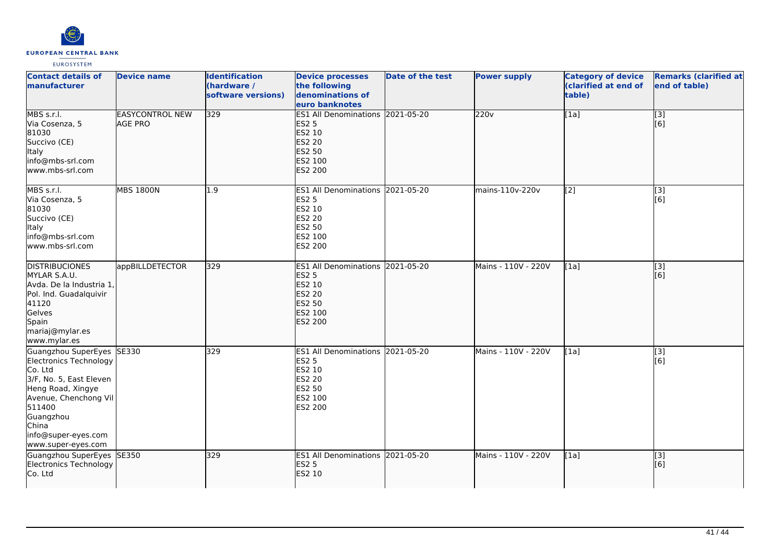

| <b>Contact details of</b><br>manufacturer                                                                                                                                                                            | <b>Device name</b>                       | <b>Identification</b><br>(hardware /<br>software versions) | <b>Device processes</b><br>the following<br>denominations of<br>euro banknotes                                     | <b>Date of the test</b> | <b>Power supply</b> | <b>Category of device</b><br>(clarified at end of<br>table) | <b>Remarks (clarified at</b><br>end of table) |
|----------------------------------------------------------------------------------------------------------------------------------------------------------------------------------------------------------------------|------------------------------------------|------------------------------------------------------------|--------------------------------------------------------------------------------------------------------------------|-------------------------|---------------------|-------------------------------------------------------------|-----------------------------------------------|
| MBS s.r.l.<br>Via Cosenza, 5<br>81030<br>Succivo (CE)<br>Italy<br>info@mbs-srl.com<br>www.mbs-srl.com                                                                                                                | <b>EASYCONTROL NEW</b><br><b>AGE PRO</b> | 329                                                        | ES1 All Denominations 2021-05-20<br><b>ES2 5</b><br>ES2 10<br><b>ES2 20</b><br><b>ES2 50</b><br>ES2 100<br>ES2 200 |                         | 220v                | [1a]                                                        | $\overline{[}3]$<br>[6]                       |
| MBS s.r.l.<br>Via Cosenza, 5<br>81030<br>Succivo (CE)<br><b>Italy</b><br>info@mbs-srl.com<br>www.mbs-srl.com                                                                                                         | <b>MBS 1800N</b>                         | 1.9                                                        | ES1 All Denominations 2021-05-20<br><b>ES2 5</b><br>ES2 10<br><b>ES2 20</b><br><b>ES2 50</b><br>ES2 100<br>ES2 200 |                         | mains-110v-220v     | [2]                                                         | [3]<br>[6]                                    |
| <b>DISTRIBUCIONES</b><br>MYLAR S.A.U.<br>Avda. De la Industria 1,<br>Pol. Ind. Guadalquivir<br>41120<br>Gelves<br>Spain<br>mariaj@mylar.es<br>www.mylar.es                                                           | appBILLDETECTOR                          | 329                                                        | <b>ES1 All Denominations</b><br><b>ES2 5</b><br>ES2 10<br><b>ES2 20</b><br>ES2 50<br>ES2 100<br><b>ES2 200</b>     | 2021-05-20              | Mains - 110V - 220V | [1a]                                                        | $\overline{[}3]$<br>[6]                       |
| Guangzhou SuperEyes SE330<br>Electronics Technology<br>Co. Ltd<br>3/F, No. 5, East Eleven<br>Heng Road, Xingye<br>Avenue, Chenchong Vil<br>511400<br>Guangzhou<br>China<br>info@super-eyes.com<br>www.super-eyes.com |                                          | 329                                                        | <b>ES1 All Denominations 2021-05-20</b><br><b>ES2 5</b><br>ES2 10<br>ES2 20<br>ES2 50<br>ES2 100<br>ES2 200        |                         | Mains - 110V - 220V | [1a]                                                        | [3]<br>[6]                                    |
| Guangzhou SuperEyes SE350<br>Electronics Technology<br>Co. Ltd                                                                                                                                                       |                                          | 329                                                        | ES1 All Denominations 2021-05-20<br><b>ES2 5</b><br>ES2 10                                                         |                         | Mains - 110V - 220V | [1a]                                                        | $\overline{[}3]$<br>[6]                       |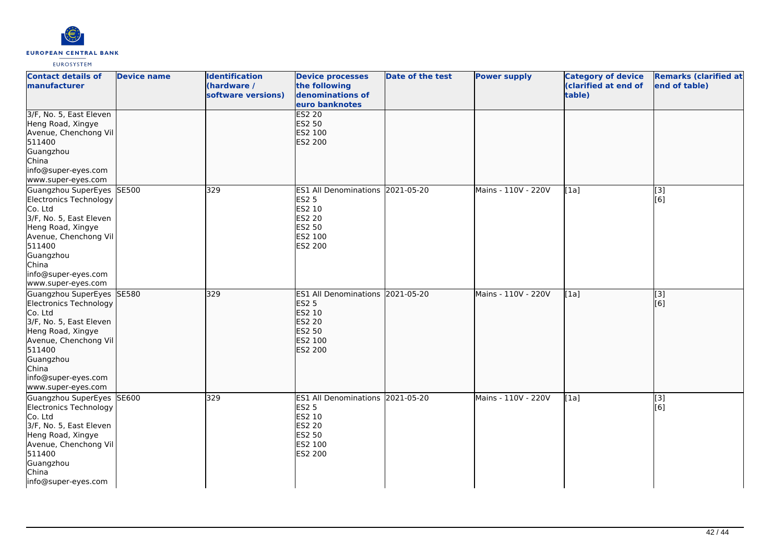

| <b>Contact details of</b><br>manufacturer                                                                                                                                                                            | <b>Device name</b> | <b>Identification</b><br>(hardware /<br>software versions) | <b>Device processes</b><br>the following<br>denominations of<br>euro banknotes                              | Date of the test | <b>Power supply</b> | <b>Category of device</b><br>(clarified at end of<br>table) | <b>Remarks (clarified at</b><br>end of table) |
|----------------------------------------------------------------------------------------------------------------------------------------------------------------------------------------------------------------------|--------------------|------------------------------------------------------------|-------------------------------------------------------------------------------------------------------------|------------------|---------------------|-------------------------------------------------------------|-----------------------------------------------|
| 3/F, No. 5, East Eleven<br>Heng Road, Xingye<br>Avenue, Chenchong Vil<br>511400<br>Guangzhou<br>China<br>info@super-eyes.com<br>www.super-eyes.com                                                                   |                    |                                                            | <b>ES2 20</b><br>ES2 50<br>ES2 100<br><b>ES2 200</b>                                                        |                  |                     |                                                             |                                               |
| Guangzhou SuperEyes SE500<br>Electronics Technology<br>Co. Ltd<br>3/F, No. 5, East Eleven<br>Heng Road, Xingye<br>Avenue, Chenchong Vil<br>511400<br>Guangzhou<br>China<br>info@super-eyes.com<br>www.super-eyes.com |                    | 329                                                        | <b>ES1 All Denominations</b><br><b>ES2 5</b><br>ES2 10<br>ES2 20<br><b>ES2 50</b><br>ES2 100<br>ES2 200     | 2021-05-20       | Mains - 110V - 220V | [1a]                                                        | [3]<br>[6]                                    |
| Guangzhou SuperEyes SE580<br>Electronics Technology<br>Co. Ltd<br>3/F, No. 5, East Eleven<br>Heng Road, Xingye<br>Avenue, Chenchong Vil<br>511400<br>Guangzhou<br>China<br>info@super-eyes.com<br>www.super-eyes.com |                    | 329                                                        | ES1 All Denominations 2021-05-20<br><b>ES2 5</b><br>ES2 10<br><b>ES2 20</b><br>ES2 50<br>ES2 100<br>ES2 200 |                  | Mains - 110V - 220V | [1a]                                                        | $\overline{[}3]$<br>[6]                       |
| Guangzhou SuperEyes SE600<br>Electronics Technology<br>Co. Ltd<br>3/F, No. 5, East Eleven<br>Heng Road, Xingye<br>Avenue, Chenchong Vil<br>511400<br>Guangzhou<br>China<br>info@super-eyes.com                       |                    | 329                                                        | ES1 All Denominations 2021-05-20<br><b>ES2 5</b><br>ES2 10<br><b>ES2 20</b><br>ES2 50<br>ES2 100<br>ES2 200 |                  | Mains - 110V - 220V | [1a]                                                        | [3]<br>[6]                                    |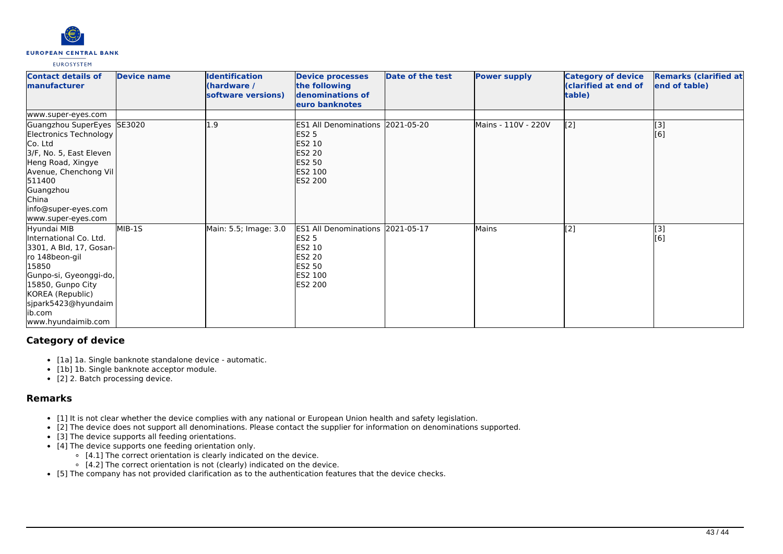

| <b>Contact details of</b><br><b>Imanufacturer</b>                                                                                                                                                                              | <b>Device name</b> | <b>Identification</b><br>(hardware /<br>software versions) | <b>Device processes</b><br>the following<br>denominations of<br>euro banknotes                                            | Date of the test | <b>Power supply</b> | <b>Category of device</b><br>(clarified at end of<br>table) | <b>Remarks (clarified at</b><br>end of table) |
|--------------------------------------------------------------------------------------------------------------------------------------------------------------------------------------------------------------------------------|--------------------|------------------------------------------------------------|---------------------------------------------------------------------------------------------------------------------------|------------------|---------------------|-------------------------------------------------------------|-----------------------------------------------|
| www.super-eyes.com                                                                                                                                                                                                             |                    |                                                            |                                                                                                                           |                  |                     |                                                             |                                               |
| Guangzhou SuperEyes SE3020<br>Electronics Technology<br>lCo. Ltd<br>3/F, No. 5, East Eleven<br>Heng Road, Xingye<br>Avenue, Chenchong Vil<br>511400<br>Guangzhou<br><b>China</b><br> info@super-eyes.com<br>www.super-eyes.com |                    | 1.9                                                        | ES1 All Denominations 2021-05-20<br><b>ES2 5</b><br>ES2 10<br><b>ES2 20</b><br><b>ES2 50</b><br>ES2 100<br><b>ES2 200</b> |                  | Mains - 110V - 220V | [2]                                                         | [3]<br>[6]                                    |
| Hyundai MIB<br>International Co. Ltd.<br>3301, A Bld, 17, Gosan-<br>ro 148beon-gil<br>15850<br>Gunpo-si, Gyeonggi-do,<br>15850, Gunpo City<br>KOREA (Republic)<br>sjpark5423@hyundaim<br>ib.com<br>www.hyundaimib.com          | MIB-1S             | Main: 5.5; Image: 3.0                                      | ES1 All Denominations 2021-05-17<br><b>ES2 5</b><br>ES2 10<br><b>ES2 20</b><br>ES2 50<br>ES2 100<br>ES2 200               |                  | Mains               | [2]                                                         | [3]<br>[6]                                    |

# **Category of device**

- [1a] 1a. Single banknote standalone device automatic.
- [1b] 1b. Single banknote acceptor module.
- [2] 2. Batch processing device.

# **Remarks**

- [1] It is not clear whether the device complies with any national or European Union health and safety legislation.
- [2] The device does not support all denominations. Please contact the supplier for information on denominations supported.
- [3] The device supports all feeding orientations.
- [4] The device supports one feeding orientation only.
	- $\circ$  [4.1] The correct orientation is clearly indicated on the device.
	- $\circ$  [4.2] The correct orientation is not (clearly) indicated on the device.
- [5] The company has not provided clarification as to the authentication features that the device checks.